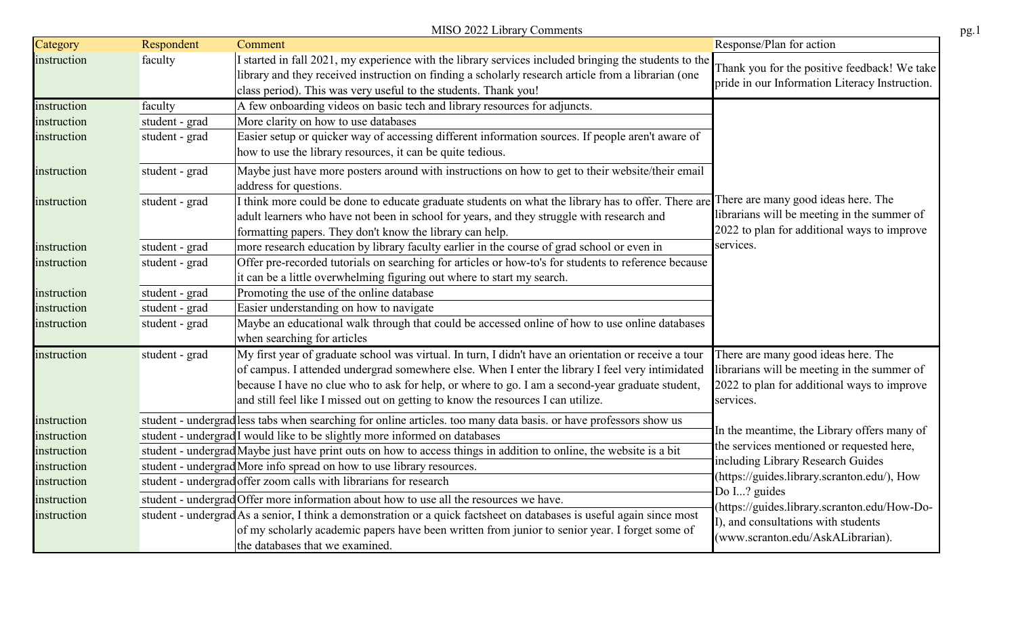|             |                | MISO 2022 Library Comments                                                                                                                                                                                                                                                                                                                                                                        |                                                                                                                                                |
|-------------|----------------|---------------------------------------------------------------------------------------------------------------------------------------------------------------------------------------------------------------------------------------------------------------------------------------------------------------------------------------------------------------------------------------------------|------------------------------------------------------------------------------------------------------------------------------------------------|
| Category    | Respondent     | Comment                                                                                                                                                                                                                                                                                                                                                                                           | Response/Plan for action                                                                                                                       |
| instruction | faculty        | I started in fall 2021, my experience with the library services included bringing the students to the<br>library and they received instruction on finding a scholarly research article from a librarian (one<br>class period). This was very useful to the students. Thank you!                                                                                                                   | Thank you for the positive feedback! We take<br>pride in our Information Literacy Instruction.                                                 |
| instruction | faculty        | A few onboarding videos on basic tech and library resources for adjuncts.                                                                                                                                                                                                                                                                                                                         |                                                                                                                                                |
| instruction | student - grad | More clarity on how to use databases                                                                                                                                                                                                                                                                                                                                                              |                                                                                                                                                |
| instruction | student - grad | Easier setup or quicker way of accessing different information sources. If people aren't aware of<br>how to use the library resources, it can be quite tedious.                                                                                                                                                                                                                                   |                                                                                                                                                |
| instruction | student - grad | Maybe just have more posters around with instructions on how to get to their website/their email<br>address for questions.                                                                                                                                                                                                                                                                        |                                                                                                                                                |
| instruction | student - grad | I think more could be done to educate graduate students on what the library has to offer. There are<br>adult learners who have not been in school for years, and they struggle with research and<br>formatting papers. They don't know the library can help.                                                                                                                                      | There are many good ideas here. The<br>librarians will be meeting in the summer of<br>2022 to plan for additional ways to improve              |
| instruction | student - grad | more research education by library faculty earlier in the course of grad school or even in                                                                                                                                                                                                                                                                                                        | services.                                                                                                                                      |
| instruction | student - grad | Offer pre-recorded tutorials on searching for articles or how-to's for students to reference because<br>it can be a little overwhelming figuring out where to start my search.                                                                                                                                                                                                                    |                                                                                                                                                |
| instruction | student - grad | Promoting the use of the online database                                                                                                                                                                                                                                                                                                                                                          |                                                                                                                                                |
| instruction | student - grad | Easier understanding on how to navigate                                                                                                                                                                                                                                                                                                                                                           |                                                                                                                                                |
| instruction | student - grad | Maybe an educational walk through that could be accessed online of how to use online databases<br>when searching for articles                                                                                                                                                                                                                                                                     |                                                                                                                                                |
| instruction | student - grad | My first year of graduate school was virtual. In turn, I didn't have an orientation or receive a tour<br>of campus. I attended undergrad somewhere else. When I enter the library I feel very intimidated<br>because I have no clue who to ask for help, or where to go. I am a second-year graduate student,<br>and still feel like I missed out on getting to know the resources I can utilize. | There are many good ideas here. The<br>librarians will be meeting in the summer of<br>2022 to plan for additional ways to improve<br>services. |
| instruction |                | student - undergrad less tabs when searching for online articles. too many data basis. or have professors show us                                                                                                                                                                                                                                                                                 |                                                                                                                                                |
| instruction |                | student - undergrad <sup>I</sup> would like to be slightly more informed on databases                                                                                                                                                                                                                                                                                                             | In the meantime, the Library offers many of                                                                                                    |
| instruction |                | student - undergrad Maybe just have print outs on how to access things in addition to online, the website is a bit                                                                                                                                                                                                                                                                                | the services mentioned or requested here,                                                                                                      |
| instruction |                | student - undergrad More info spread on how to use library resources.                                                                                                                                                                                                                                                                                                                             | including Library Research Guides                                                                                                              |
| instruction |                | student - undergrad offer zoom calls with librarians for research                                                                                                                                                                                                                                                                                                                                 | (https://guides.library.scranton.edu/), How                                                                                                    |
| instruction |                | student - undergrad Offer more information about how to use all the resources we have.                                                                                                                                                                                                                                                                                                            | Do I? guides                                                                                                                                   |
| instruction |                | student - undergrad As a senior, I think a demonstration or a quick factsheet on databases is useful again since most<br>of my scholarly academic papers have been written from junior to senior year. I forget some of<br>the databases that we examined.                                                                                                                                        | (https://guides.library.scranton.edu/How-Do-<br>I), and consultations with students<br>(www.scranton.edu/AskALibrarian).                       |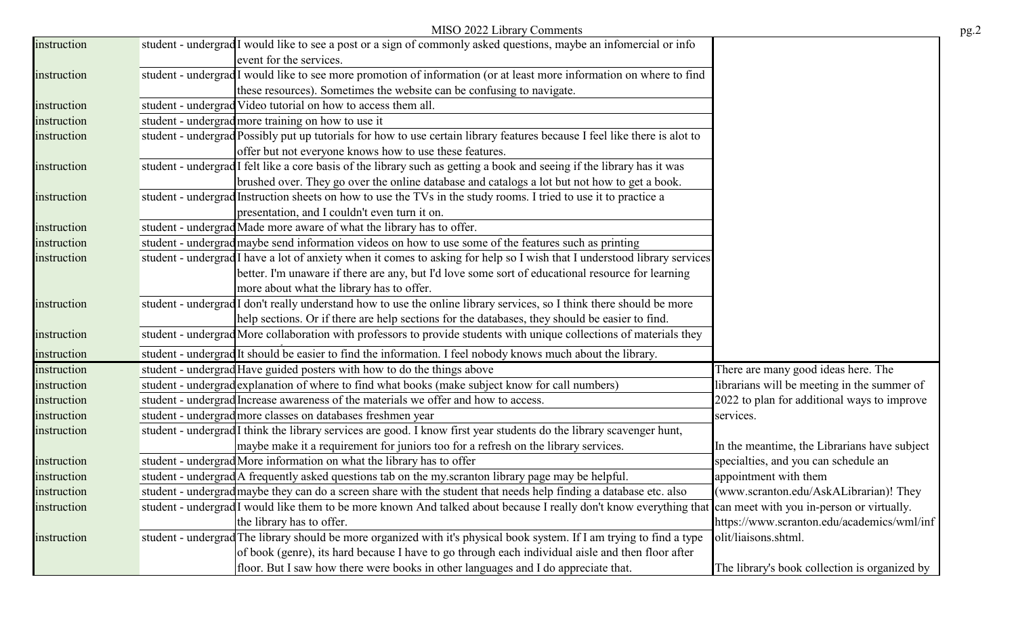|             | MISO 2022 Library Comments                                                                                                         |                                               |
|-------------|------------------------------------------------------------------------------------------------------------------------------------|-----------------------------------------------|
| instruction | student - undergrad <sup>I</sup> would like to see a post or a sign of commonly asked questions, maybe an infomercial or info      |                                               |
|             | event for the services.                                                                                                            |                                               |
| instruction | student - undergrad <sup>I</sup> would like to see more promotion of information (or at least more information on where to find    |                                               |
|             | these resources). Sometimes the website can be confusing to navigate.                                                              |                                               |
| instruction | student - undergrad Video tutorial on how to access them all.                                                                      |                                               |
| instruction | student - undergrad more training on how to use it                                                                                 |                                               |
| instruction | student - undergrad Possibly put up tutorials for how to use certain library features because I feel like there is alot to         |                                               |
|             | offer but not everyone knows how to use these features.                                                                            |                                               |
| instruction | student - undergrad <sup>I</sup> felt like a core basis of the library such as getting a book and seeing if the library has it was |                                               |
|             | brushed over. They go over the online database and catalogs a lot but not how to get a book.                                       |                                               |
| instruction | student - undergrad Instruction sheets on how to use the TVs in the study rooms. I tried to use it to practice a                   |                                               |
|             | presentation, and I couldn't even turn it on.                                                                                      |                                               |
| instruction | student - undergrad Made more aware of what the library has to offer.                                                              |                                               |
| instruction | student - undergrad maybe send information videos on how to use some of the features such as printing                              |                                               |
| instruction | student - undergrad I have a lot of anxiety when it comes to asking for help so I wish that I understood library services          |                                               |
|             | better. I'm unaware if there are any, but I'd love some sort of educational resource for learning                                  |                                               |
|             | more about what the library has to offer.                                                                                          |                                               |
| instruction | student - undergrad I don't really understand how to use the online library services, so I think there should be more              |                                               |
|             | help sections. Or if there are help sections for the databases, they should be easier to find.                                     |                                               |
| instruction | student - undergrad More collaboration with professors to provide students with unique collections of materials they               |                                               |
| instruction | student - undergrad It should be easier to find the information. I feel nobody knows much about the library.                       |                                               |
| instruction | student - undergrad Have guided posters with how to do the things above                                                            | There are many good ideas here. The           |
| instruction | student - undergrad explanation of where to find what books (make subject know for call numbers)                                   | librarians will be meeting in the summer of   |
| instruction | student - undergrad Increase awareness of the materials we offer and how to access.                                                | 2022 to plan for additional ways to improve   |
| instruction | student - undergrad more classes on databases freshmen year                                                                        | services.                                     |
| instruction | student - undergrad <sup>I</sup> think the library services are good. I know first year students do the library scavenger hunt,    |                                               |
|             | maybe make it a requirement for juniors too for a refresh on the library services.                                                 | In the meantime, the Librarians have subject  |
| instruction | student - undergrad More information on what the library has to offer                                                              | specialties, and you can schedule an          |
| instruction | student - undergrad A frequently asked questions tab on the my.scranton library page may be helpful.                               | appointment with them                         |
| instruction | student - undergrad maybe they can do a screen share with the student that needs help finding a database etc. also                 | (www.scranton.edu/AskALibrarian)! They        |
| instruction | student - undergrad I would like them to be more known And talked about because I really don't know everything that                | can meet with you in-person or virtually.     |
|             | the library has to offer.                                                                                                          | https://www.scranton.edu/academics/wml/inf    |
| instruction | student - undergrad The library should be more organized with it's physical book system. If I am trying to find a type             | olit/liaisons.shtml.                          |
|             | of book (genre), its hard because I have to go through each individual aisle and then floor after                                  |                                               |
|             | floor. But I saw how there were books in other languages and I do appreciate that.                                                 | The library's book collection is organized by |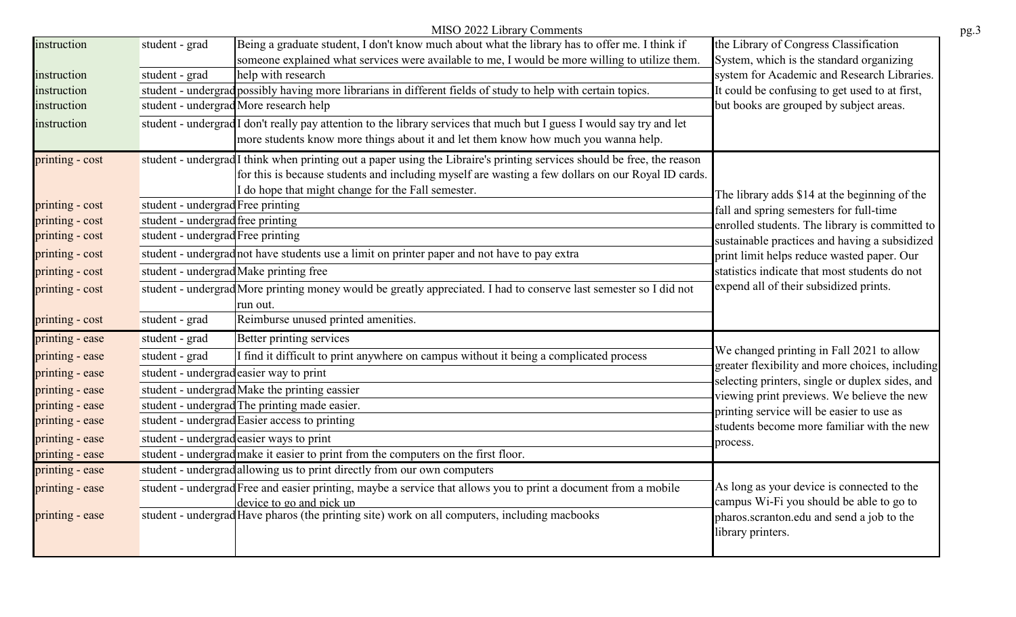|                 |                                   | MISO 2022 Library Comments                                                                                                         |                                                                                                    |
|-----------------|-----------------------------------|------------------------------------------------------------------------------------------------------------------------------------|----------------------------------------------------------------------------------------------------|
| instruction     | student - grad                    | Being a graduate student, I don't know much about what the library has to offer me. I think if                                     | the Library of Congress Classification                                                             |
|                 |                                   | someone explained what services were available to me, I would be more willing to utilize them.                                     | System, which is the standard organizing                                                           |
| instruction     | student - grad                    | help with research                                                                                                                 | system for Academic and Research Libraries.                                                        |
| instruction     |                                   | student - undergrad possibly having more librarians in different fields of study to help with certain topics.                      | It could be confusing to get used to at first,                                                     |
| instruction     |                                   | student - undergrad More research help                                                                                             | but books are grouped by subject areas.                                                            |
| instruction     |                                   | student - undergrad I don't really pay attention to the library services that much but I guess I would say try and let             |                                                                                                    |
|                 |                                   | more students know more things about it and let them know how much you wanna help.                                                 |                                                                                                    |
| printing - cost |                                   | student - undergrad <sup>I</sup> think when printing out a paper using the Libraire's printing services should be free, the reason |                                                                                                    |
|                 |                                   | for this is because students and including myself are wasting a few dollars on our Royal ID cards.                                 |                                                                                                    |
|                 |                                   | I do hope that might change for the Fall semester.                                                                                 | The library adds \$14 at the beginning of the                                                      |
| printing - cost | student - undergrad Free printing |                                                                                                                                    | fall and spring semesters for full-time                                                            |
| printing - cost | student - undergrad free printing |                                                                                                                                    | enrolled students. The library is committed to                                                     |
| printing - cost | student - undergrad Free printing |                                                                                                                                    | sustainable practices and having a subsidized                                                      |
| printing - cost |                                   | student - undergrad not have students use a limit on printer paper and not have to pay extra                                       | print limit helps reduce wasted paper. Our                                                         |
| printing - cost |                                   | student - undergrad Make printing free                                                                                             | statistics indicate that most students do not                                                      |
| printing - cost |                                   | student - undergrad More printing money would be greatly appreciated. I had to conserve last semester so I did not                 | expend all of their subsidized prints.                                                             |
|                 |                                   | run out.                                                                                                                           |                                                                                                    |
| printing - cost | student - grad                    | Reimburse unused printed amenities.                                                                                                |                                                                                                    |
| printing - ease | student - grad                    | Better printing services                                                                                                           |                                                                                                    |
| printing - ease | student - grad                    | I find it difficult to print anywhere on campus without it being a complicated process                                             | We changed printing in Fall 2021 to allow                                                          |
| printing - ease |                                   | student - undergrad easier way to print                                                                                            | greater flexibility and more choices, including<br>selecting printers, single or duplex sides, and |
| printing - ease |                                   | student - undergrad Make the printing eassier                                                                                      | viewing print previews. We believe the new                                                         |
| printing - ease |                                   | student - undergrad The printing made easier.                                                                                      | printing service will be easier to use as                                                          |
| printing - ease |                                   | student - undergrad Easier access to printing                                                                                      | students become more familiar with the new                                                         |
| printing - ease |                                   | student - undergrad easier ways to print                                                                                           | process.                                                                                           |
| printing - ease |                                   | student - undergrad make it easier to print from the computers on the first floor.                                                 |                                                                                                    |
| printing - ease |                                   | student - undergrad allowing us to print directly from our own computers                                                           |                                                                                                    |
| printing - ease |                                   | student - undergrad Free and easier printing, maybe a service that allows you to print a document from a mobile                    | As long as your device is connected to the                                                         |
|                 |                                   | device to go and pick up                                                                                                           | campus Wi-Fi you should be able to go to                                                           |
| printing - ease |                                   | student - undergrad Have pharos (the printing site) work on all computers, including macbooks                                      | pharos.scranton.edu and send a job to the<br>library printers.                                     |
|                 |                                   |                                                                                                                                    |                                                                                                    |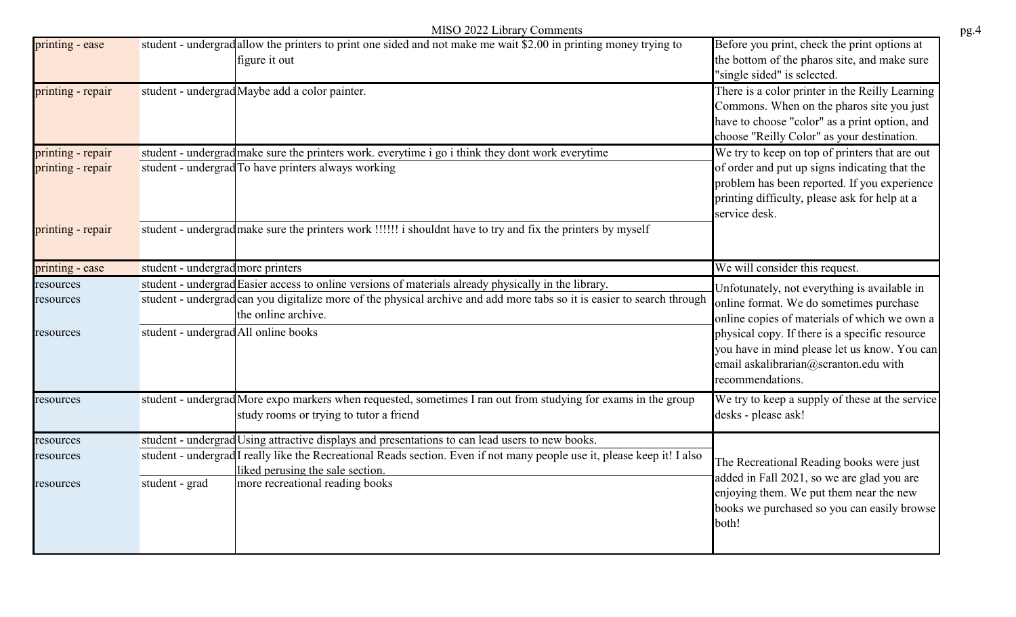|                   |                                      | MISO 2022 Library Comments                                                                                                                                   |                                                                                                                                                                                             |
|-------------------|--------------------------------------|--------------------------------------------------------------------------------------------------------------------------------------------------------------|---------------------------------------------------------------------------------------------------------------------------------------------------------------------------------------------|
| printing - ease   |                                      | student - undergrad allow the printers to print one sided and not make me wait \$2.00 in printing money trying to<br>figure it out                           | Before you print, check the print options at<br>the bottom of the pharos site, and make sure<br>"single sided" is selected.                                                                 |
| printing - repair |                                      | student - undergrad Maybe add a color painter.                                                                                                               | There is a color printer in the Reilly Learning<br>Commons. When on the pharos site you just<br>have to choose "color" as a print option, and<br>choose "Reilly Color" as your destination. |
| printing - repair |                                      | student - undergrad make sure the printers work. everytime i go i think they dont work everytime                                                             | We try to keep on top of printers that are out                                                                                                                                              |
| printing - repair |                                      | student - undergrad To have printers always working                                                                                                          | of order and put up signs indicating that the<br>problem has been reported. If you experience<br>printing difficulty, please ask for help at a<br>service desk.                             |
| printing - repair |                                      | student - undergrad make sure the printers work !!!!!! i shouldnt have to try and fix the printers by myself                                                 |                                                                                                                                                                                             |
| printing - ease   | student - undergrad more printers    |                                                                                                                                                              | We will consider this request.                                                                                                                                                              |
| resources         |                                      | student - undergrad Easier access to online versions of materials already physically in the library.                                                         | Unfotunately, not everything is available in                                                                                                                                                |
| resources         |                                      | student - undergrad can you digitalize more of the physical archive and add more tabs so it is easier to search through<br>the online archive.               | online format. We do sometimes purchase<br>online copies of materials of which we own a                                                                                                     |
| resources         | student - undergrad All online books |                                                                                                                                                              | physical copy. If there is a specific resource<br>you have in mind please let us know. You can<br>email askalibrarian@scranton.edu with<br>recommendations.                                 |
| resources         |                                      | student - undergrad More expo markers when requested, sometimes I ran out from studying for exams in the group<br>study rooms or trying to tutor a friend    | We try to keep a supply of these at the service<br>desks - please ask!                                                                                                                      |
| resources         |                                      | student - undergrad Using attractive displays and presentations to can lead users to new books.                                                              |                                                                                                                                                                                             |
| resources         |                                      | student - undergrad I really like the Recreational Reads section. Even if not many people use it, please keep it! I also<br>liked perusing the sale section. | The Recreational Reading books were just<br>added in Fall 2021, so we are glad you are                                                                                                      |
| resources         | student - grad                       | more recreational reading books                                                                                                                              | enjoying them. We put them near the new<br>books we purchased so you can easily browse<br>both!                                                                                             |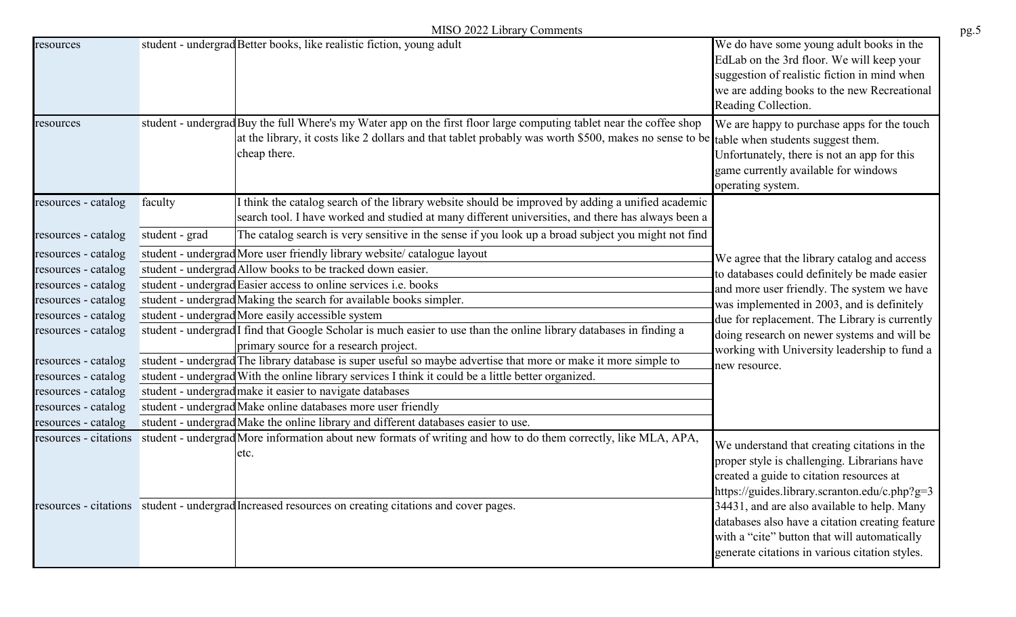|  |  |  | MISO 2022 Library Comments |
|--|--|--|----------------------------|
|--|--|--|----------------------------|

|                                              |                | MISO 2022 Library Comments                                                                                                                                                                                                                                                       |                                                                                                                                                                                                                                                                                             |
|----------------------------------------------|----------------|----------------------------------------------------------------------------------------------------------------------------------------------------------------------------------------------------------------------------------------------------------------------------------|---------------------------------------------------------------------------------------------------------------------------------------------------------------------------------------------------------------------------------------------------------------------------------------------|
| resources                                    |                | student - undergrad Better books, like realistic fiction, young adult                                                                                                                                                                                                            | We do have some young adult books in the<br>EdLab on the 3rd floor. We will keep your<br>suggestion of realistic fiction in mind when<br>we are adding books to the new Recreational<br>Reading Collection.                                                                                 |
| resources                                    |                | student - undergrad Buy the full Where's my Water app on the first floor large computing tablet near the coffee shop<br>at the library, it costs like 2 dollars and that tablet probably was worth \$500, makes no sense to be table when students suggest them.<br>cheap there. | We are happy to purchase apps for the touch<br>Unfortunately, there is not an app for this<br>game currently available for windows<br>operating system.                                                                                                                                     |
| resources - catalog                          | faculty        | I think the catalog search of the library website should be improved by adding a unified academic<br>search tool. I have worked and studied at many different universities, and there has always been a                                                                          |                                                                                                                                                                                                                                                                                             |
| resources - catalog                          | student - grad | The catalog search is very sensitive in the sense if you look up a broad subject you might not find                                                                                                                                                                              |                                                                                                                                                                                                                                                                                             |
| resources - catalog                          |                | student - undergrad More user friendly library website/ catalogue layout                                                                                                                                                                                                         | We agree that the library catalog and access                                                                                                                                                                                                                                                |
| resources - catalog                          |                | student - undergrad Allow books to be tracked down easier.                                                                                                                                                                                                                       | to databases could definitely be made easier                                                                                                                                                                                                                                                |
| resources - catalog                          |                | student - undergrad Easier access to online services i.e. books                                                                                                                                                                                                                  | and more user friendly. The system we have                                                                                                                                                                                                                                                  |
| resources - catalog                          |                | student - undergrad Making the search for available books simpler.                                                                                                                                                                                                               | was implemented in 2003, and is definitely                                                                                                                                                                                                                                                  |
| resources - catalog                          |                | student - undergrad More easily accessible system                                                                                                                                                                                                                                | due for replacement. The Library is currently                                                                                                                                                                                                                                               |
| resources - catalog                          |                | student - undergrad <sup>I</sup> find that Google Scholar is much easier to use than the online library databases in finding a                                                                                                                                                   | doing research on newer systems and will be                                                                                                                                                                                                                                                 |
|                                              |                | primary source for a research project.                                                                                                                                                                                                                                           | working with University leadership to fund a                                                                                                                                                                                                                                                |
| resources - catalog                          |                | student - undergrad The library database is super useful so maybe advertise that more or make it more simple to                                                                                                                                                                  | new resource.                                                                                                                                                                                                                                                                               |
| resources - catalog                          |                | student - undergrad With the online library services I think it could be a little better organized.                                                                                                                                                                              |                                                                                                                                                                                                                                                                                             |
| resources - catalog                          |                | student - undergrad make it easier to navigate databases                                                                                                                                                                                                                         |                                                                                                                                                                                                                                                                                             |
| resources - catalog                          |                | student - undergrad Make online databases more user friendly<br>student - undergrad Make the online library and different databases easier to use.                                                                                                                               |                                                                                                                                                                                                                                                                                             |
| resources - catalog<br>resources - citations |                | student - undergrad More information about new formats of writing and how to do them correctly, like MLA, APA,                                                                                                                                                                   |                                                                                                                                                                                                                                                                                             |
|                                              |                | etc.<br>resources - citations student - undergrad Increased resources on creating citations and cover pages.                                                                                                                                                                     | We understand that creating citations in the<br>proper style is challenging. Librarians have<br>created a guide to citation resources at<br>https://guides.library.scranton.edu/c.php?g=3<br>34431, and are also available to help. Many<br>databases also have a citation creating feature |
|                                              |                |                                                                                                                                                                                                                                                                                  | with a "cite" button that will automatically<br>generate citations in various citation styles.                                                                                                                                                                                              |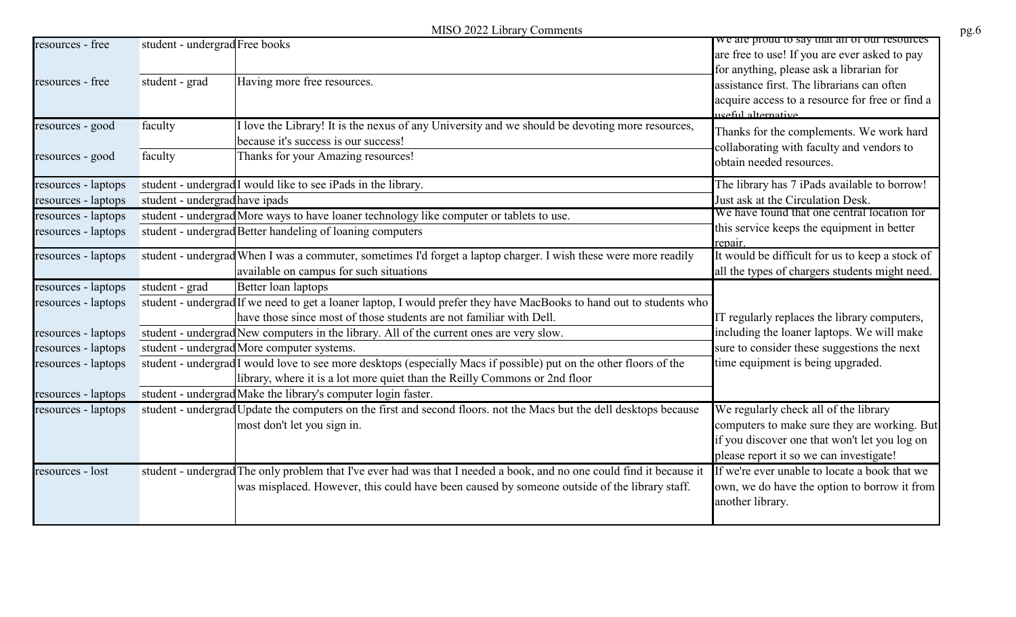|                     | MISO 2022 Library Comments                                                                                                                                                                       |                                                                                                                                            |
|---------------------|--------------------------------------------------------------------------------------------------------------------------------------------------------------------------------------------------|--------------------------------------------------------------------------------------------------------------------------------------------|
| resources - free    | student - undergrad Free books                                                                                                                                                                   | we are proud to say that all of our resources<br>are free to use! If you are ever asked to pay<br>for anything, please ask a librarian for |
| resources - free    | Having more free resources.<br>student - grad                                                                                                                                                    | assistance first. The librarians can often<br>acquire access to a resource for free or find a<br><u>useful alternative.</u>                |
| resources - good    | I love the Library! It is the nexus of any University and we should be devoting more resources,<br>faculty<br>because it's success is our success!                                               | Thanks for the complements. We work hard<br>collaborating with faculty and vendors to                                                      |
| resources - good    | faculty<br>Thanks for your Amazing resources!                                                                                                                                                    | obtain needed resources.                                                                                                                   |
| resources - laptops | student - undergrad <sup>I</sup> would like to see iPads in the library.                                                                                                                         | The library has 7 iPads available to borrow!                                                                                               |
| resources - laptops | student - undergrad have ipads                                                                                                                                                                   | Just ask at the Circulation Desk.                                                                                                          |
| resources - laptops | student - undergrad More ways to have loaner technology like computer or tablets to use.                                                                                                         | We have found that one central location for                                                                                                |
| resources - laptops | student - undergrad Better handeling of loaning computers                                                                                                                                        | this service keeps the equipment in better<br>repair.                                                                                      |
| resources - laptops | student - undergrad When I was a commuter, sometimes I'd forget a laptop charger. I wish these were more readily                                                                                 | It would be difficult for us to keep a stock of                                                                                            |
|                     | available on campus for such situations                                                                                                                                                          | all the types of chargers students might need.                                                                                             |
| resources - laptops | Better loan laptops<br>student - grad                                                                                                                                                            |                                                                                                                                            |
| resources - laptops | student - undergrad If we need to get a loaner laptop, I would prefer they have MacBooks to hand out to students who                                                                             |                                                                                                                                            |
|                     | have those since most of those students are not familiar with Dell.                                                                                                                              | IT regularly replaces the library computers,                                                                                               |
| resources - laptops | student - undergrad New computers in the library. All of the current ones are very slow.                                                                                                         | including the loaner laptops. We will make                                                                                                 |
| resources - laptops | student - undergrad More computer systems.                                                                                                                                                       | sure to consider these suggestions the next                                                                                                |
| resources - laptops | student - undergrad I would love to see more desktops (especially Macs if possible) put on the other floors of the<br>library, where it is a lot more quiet than the Reilly Commons or 2nd floor | time equipment is being upgraded.                                                                                                          |
| resources - laptops | student - undergrad Make the library's computer login faster.                                                                                                                                    |                                                                                                                                            |
| resources - laptops | student - undergrad Update the computers on the first and second floors. not the Macs but the dell desktops because                                                                              | We regularly check all of the library                                                                                                      |
|                     | most don't let you sign in.                                                                                                                                                                      | computers to make sure they are working. But                                                                                               |
|                     |                                                                                                                                                                                                  | if you discover one that won't let you log on                                                                                              |
|                     |                                                                                                                                                                                                  | please report it so we can investigate!                                                                                                    |
| resources - lost    | student - undergrad The only problem that I've ever had was that I needed a book, and no one could find it because it                                                                            | If we're ever unable to locate a book that we                                                                                              |
|                     | was misplaced. However, this could have been caused by someone outside of the library staff.                                                                                                     | own, we do have the option to borrow it from<br>another library.                                                                           |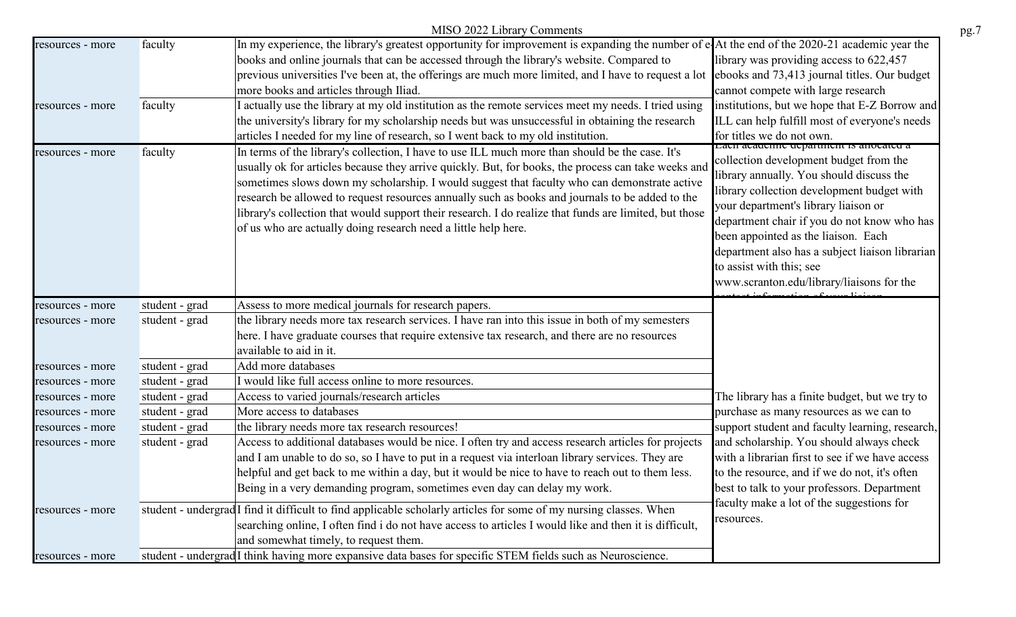|                  |                | MISO 2022 Library Comments                                                                                                                                                                                                                                                                                                                                                                                                                                                                                                                                                            |                                                                                                                                                                                                                                                                                                                                                                                                                                                               |
|------------------|----------------|---------------------------------------------------------------------------------------------------------------------------------------------------------------------------------------------------------------------------------------------------------------------------------------------------------------------------------------------------------------------------------------------------------------------------------------------------------------------------------------------------------------------------------------------------------------------------------------|---------------------------------------------------------------------------------------------------------------------------------------------------------------------------------------------------------------------------------------------------------------------------------------------------------------------------------------------------------------------------------------------------------------------------------------------------------------|
| resources - more | faculty        | In my experience, the library's greatest opportunity for improvement is expanding the number of e-At the end of the 2020-21 academic year the<br>books and online journals that can be accessed through the library's website. Compared to<br>previous universities I've been at, the offerings are much more limited, and I have to request a lot<br>more books and articles through Iliad.                                                                                                                                                                                          | library was providing access to 622,457<br>ebooks and 73,413 journal titles. Our budget<br>cannot compete with large research                                                                                                                                                                                                                                                                                                                                 |
| resources - more | faculty        | I actually use the library at my old institution as the remote services meet my needs. I tried using<br>the university's library for my scholarship needs but was unsuccessful in obtaining the research<br>articles I needed for my line of research, so I went back to my old institution.                                                                                                                                                                                                                                                                                          | institutions, but we hope that E-Z Borrow and<br>ILL can help fulfill most of everyone's needs<br>for titles we do not own.                                                                                                                                                                                                                                                                                                                                   |
| resources - more | faculty        | In terms of the library's collection, I have to use ILL much more than should be the case. It's<br>usually ok for articles because they arrive quickly. But, for books, the process can take weeks and<br>sometimes slows down my scholarship. I would suggest that faculty who can demonstrate active<br>research be allowed to request resources annually such as books and journals to be added to the<br>library's collection that would support their research. I do realize that funds are limited, but those<br>of us who are actually doing research need a little help here. | ваен асадение дерагинент is аносатед а<br>collection development budget from the<br>library annually. You should discuss the<br>library collection development budget with<br>your department's library liaison or<br>department chair if you do not know who has<br>been appointed as the liaison. Each<br>department also has a subject liaison librarian<br>to assist with this; see<br>www.scranton.edu/library/liaisons for the<br>$\overrightarrow{AB}$ |
| resources - more | student - grad | Assess to more medical journals for research papers.                                                                                                                                                                                                                                                                                                                                                                                                                                                                                                                                  |                                                                                                                                                                                                                                                                                                                                                                                                                                                               |
| resources - more | student - grad | the library needs more tax research services. I have ran into this issue in both of my semesters                                                                                                                                                                                                                                                                                                                                                                                                                                                                                      |                                                                                                                                                                                                                                                                                                                                                                                                                                                               |
|                  |                | here. I have graduate courses that require extensive tax research, and there are no resources                                                                                                                                                                                                                                                                                                                                                                                                                                                                                         |                                                                                                                                                                                                                                                                                                                                                                                                                                                               |
|                  |                | available to aid in it.                                                                                                                                                                                                                                                                                                                                                                                                                                                                                                                                                               |                                                                                                                                                                                                                                                                                                                                                                                                                                                               |
| resources - more | student - grad | Add more databases                                                                                                                                                                                                                                                                                                                                                                                                                                                                                                                                                                    |                                                                                                                                                                                                                                                                                                                                                                                                                                                               |
| resources - more | student - grad | I would like full access online to more resources.                                                                                                                                                                                                                                                                                                                                                                                                                                                                                                                                    |                                                                                                                                                                                                                                                                                                                                                                                                                                                               |
| resources - more | student - grad | Access to varied journals/research articles                                                                                                                                                                                                                                                                                                                                                                                                                                                                                                                                           | The library has a finite budget, but we try to                                                                                                                                                                                                                                                                                                                                                                                                                |
| resources - more | student - grad | More access to databases                                                                                                                                                                                                                                                                                                                                                                                                                                                                                                                                                              | purchase as many resources as we can to                                                                                                                                                                                                                                                                                                                                                                                                                       |
| resources - more | student - grad | the library needs more tax research resources!                                                                                                                                                                                                                                                                                                                                                                                                                                                                                                                                        | support student and faculty learning, research,                                                                                                                                                                                                                                                                                                                                                                                                               |
| resources - more | student - grad | Access to additional databases would be nice. I often try and access research articles for projects<br>and I am unable to do so, so I have to put in a request via interloan library services. They are<br>helpful and get back to me within a day, but it would be nice to have to reach out to them less.<br>Being in a very demanding program, sometimes even day can delay my work.                                                                                                                                                                                               | and scholarship. You should always check<br>with a librarian first to see if we have access<br>to the resource, and if we do not, it's often<br>best to talk to your professors. Department<br>faculty make a lot of the suggestions for<br>resources.                                                                                                                                                                                                        |
| resources - more |                | student - undergrad <sup>I</sup> find it difficult to find applicable scholarly articles for some of my nursing classes. When<br>searching online, I often find i do not have access to articles I would like and then it is difficult,<br>and somewhat timely, to request them.                                                                                                                                                                                                                                                                                                      |                                                                                                                                                                                                                                                                                                                                                                                                                                                               |
| resources - more |                | student - undergrad I think having more expansive data bases for specific STEM fields such as Neuroscience.                                                                                                                                                                                                                                                                                                                                                                                                                                                                           |                                                                                                                                                                                                                                                                                                                                                                                                                                                               |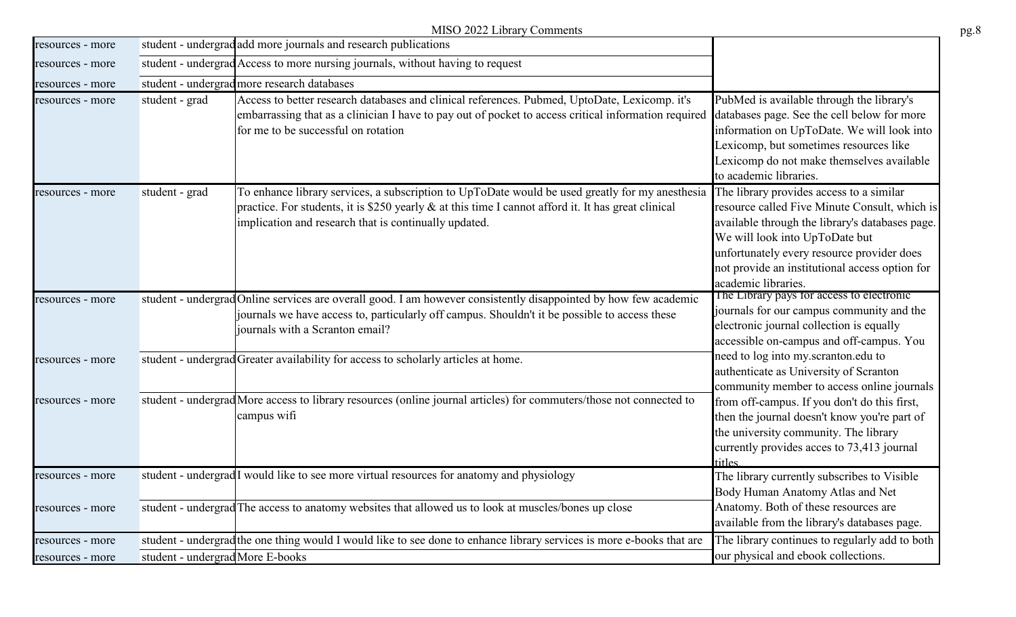|                  |                                  | MISO 2022 Library Comments                                                                                                                                                                                                                                      |                                                                                                                                                                                                                                                                                                       |
|------------------|----------------------------------|-----------------------------------------------------------------------------------------------------------------------------------------------------------------------------------------------------------------------------------------------------------------|-------------------------------------------------------------------------------------------------------------------------------------------------------------------------------------------------------------------------------------------------------------------------------------------------------|
| resources - more |                                  | student - undergrad add more journals and research publications                                                                                                                                                                                                 |                                                                                                                                                                                                                                                                                                       |
| resources - more |                                  | student - undergrad Access to more nursing journals, without having to request                                                                                                                                                                                  |                                                                                                                                                                                                                                                                                                       |
| resources - more |                                  | student - undergrad more research databases                                                                                                                                                                                                                     |                                                                                                                                                                                                                                                                                                       |
| resources - more | student - grad                   | Access to better research databases and clinical references. Pubmed, UptoDate, Lexicomp. it's<br>embarrassing that as a clinician I have to pay out of pocket to access critical information required<br>for me to be successful on rotation                    | PubMed is available through the library's<br>databases page. See the cell below for more<br>information on UpToDate. We will look into<br>Lexicomp, but sometimes resources like<br>Lexicomp do not make themselves available<br>to academic libraries.                                               |
| resources - more | student - grad                   | To enhance library services, a subscription to UpToDate would be used greatly for my anesthesia<br>practice. For students, it is \$250 yearly & at this time I cannot afford it. It has great clinical<br>implication and research that is continually updated. | The library provides access to a similar<br>resource called Five Minute Consult, which is<br>available through the library's databases page.<br>We will look into UpToDate but<br>unfortunately every resource provider does<br>not provide an institutional access option for<br>academic libraries. |
| resources - more |                                  | student - undergrad Online services are overall good. I am however consistently disappointed by how few academic<br>journals we have access to, particularly off campus. Shouldn't it be possible to access these<br>journals with a Scranton email?            | The Library pays for access to electronic<br>journals for our campus community and the<br>electronic journal collection is equally<br>accessible on-campus and off-campus. You                                                                                                                        |
| resources - more |                                  | student - undergrad Greater availability for access to scholarly articles at home.                                                                                                                                                                              | need to log into my.scranton.edu to<br>authenticate as University of Scranton<br>community member to access online journals                                                                                                                                                                           |
| resources - more |                                  | student - undergrad More access to library resources (online journal articles) for commuters/those not connected to<br>campus wifi                                                                                                                              | from off-campus. If you don't do this first,<br>then the journal doesn't know you're part of<br>the university community. The library<br>currently provides acces to 73,413 journal<br>titles.                                                                                                        |
| resources - more |                                  | student - undergrad I would like to see more virtual resources for anatomy and physiology                                                                                                                                                                       | The library currently subscribes to Visible<br>Body Human Anatomy Atlas and Net                                                                                                                                                                                                                       |
| resources - more |                                  | student - undergrad The access to anatomy websites that allowed us to look at muscles/bones up close                                                                                                                                                            | Anatomy. Both of these resources are<br>available from the library's databases page.                                                                                                                                                                                                                  |
| resources - more |                                  | student - undergrad the one thing would I would like to see done to enhance library services is more e-books that are                                                                                                                                           | The library continues to regularly add to both                                                                                                                                                                                                                                                        |
| resources - more | student - undergrad More E-books |                                                                                                                                                                                                                                                                 | our physical and ebook collections.                                                                                                                                                                                                                                                                   |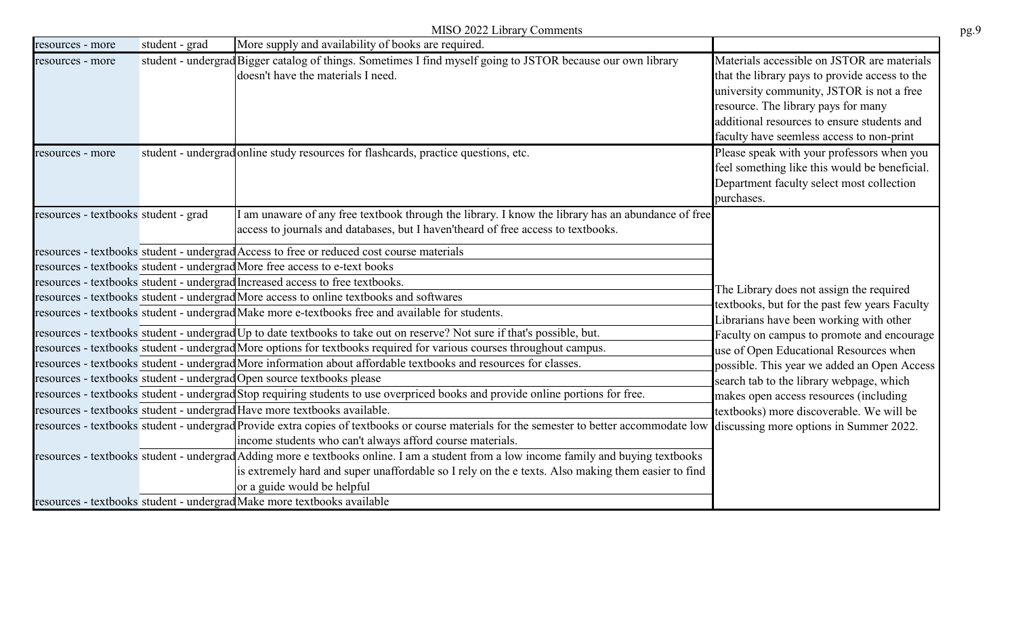|                  |                                      | MISO 2022 Library Comments                                                                                                                                                                                                                                                                                                                             |                                                                                                                                                                                                                                                                               |
|------------------|--------------------------------------|--------------------------------------------------------------------------------------------------------------------------------------------------------------------------------------------------------------------------------------------------------------------------------------------------------------------------------------------------------|-------------------------------------------------------------------------------------------------------------------------------------------------------------------------------------------------------------------------------------------------------------------------------|
| resources - more | student - grad                       | More supply and availability of books are required.                                                                                                                                                                                                                                                                                                    |                                                                                                                                                                                                                                                                               |
| resources - more |                                      | student - undergrad Bigger catalog of things. Sometimes I find myself going to JSTOR because our own library<br>doesn't have the materials I need.                                                                                                                                                                                                     | Materials accessible on JSTOR are materials<br>that the library pays to provide access to the<br>university community, JSTOR is not a free<br>resource. The library pays for many<br>additional resources to ensure students and<br>faculty have seemless access to non-print |
| resources - more |                                      | student - undergrad online study resources for flashcards, practice questions, etc.                                                                                                                                                                                                                                                                    | Please speak with your professors when you<br>feel something like this would be beneficial.<br>Department faculty select most collection<br>purchases.                                                                                                                        |
|                  | resources - textbooks student - grad | I am unaware of any free textbook through the library. I know the library has an abundance of free<br>access to journals and databases, but I haven'theard of free access to textbooks.                                                                                                                                                                |                                                                                                                                                                                                                                                                               |
|                  |                                      | resources - textbooks student - undergrad Access to free or reduced cost course materials                                                                                                                                                                                                                                                              |                                                                                                                                                                                                                                                                               |
|                  |                                      | resources - textbooks student - undergrad More free access to e-text books                                                                                                                                                                                                                                                                             |                                                                                                                                                                                                                                                                               |
|                  |                                      | resources - textbooks student - undergrad Increased access to free textbooks.                                                                                                                                                                                                                                                                          | The Library does not assign the required                                                                                                                                                                                                                                      |
|                  |                                      | resources - textbooks student - undergrad More access to online textbooks and softwares                                                                                                                                                                                                                                                                | textbooks, but for the past few years Faculty                                                                                                                                                                                                                                 |
|                  |                                      | resources - textbooks student - undergrad Make more e-textbooks free and available for students.                                                                                                                                                                                                                                                       | Librarians have been working with other                                                                                                                                                                                                                                       |
|                  |                                      | resources - textbooks student - undergrad Up to date textbooks to take out on reserve? Not sure if that's possible, but.                                                                                                                                                                                                                               | Faculty on campus to promote and encourage                                                                                                                                                                                                                                    |
|                  |                                      | resources - textbooks student - undergrad More options for textbooks required for various courses throughout campus.                                                                                                                                                                                                                                   | use of Open Educational Resources when                                                                                                                                                                                                                                        |
|                  |                                      | resources - textbooks student - undergrad More information about affordable textbooks and resources for classes.                                                                                                                                                                                                                                       | possible. This year we added an Open Access                                                                                                                                                                                                                                   |
|                  |                                      | resources - textbooks student - undergrad Open source textbooks please                                                                                                                                                                                                                                                                                 | search tab to the library webpage, which                                                                                                                                                                                                                                      |
|                  |                                      | resources - textbooks student - undergrad Stop requiring students to use overpriced books and provide online portions for free.                                                                                                                                                                                                                        | makes open access resources (including                                                                                                                                                                                                                                        |
|                  |                                      | resources - textbooks student - undergrad Have more textbooks available.                                                                                                                                                                                                                                                                               | textbooks) more discoverable. We will be<br>discussing more options in Summer 2022.                                                                                                                                                                                           |
|                  |                                      | resources - textbooks student - undergrad Provide extra copies of textbooks or course materials for the semester to better accommodate low<br>income students who can't always afford course materials.                                                                                                                                                |                                                                                                                                                                                                                                                                               |
|                  |                                      | resources - textbooks student - undergrad Adding more e textbooks online. I am a student from a low income family and buying textbooks<br>is extremely hard and super unaffordable so I rely on the e texts. Also making them easier to find<br>or a guide would be helpful<br>resources - textbooks student - undergrad Make more textbooks available |                                                                                                                                                                                                                                                                               |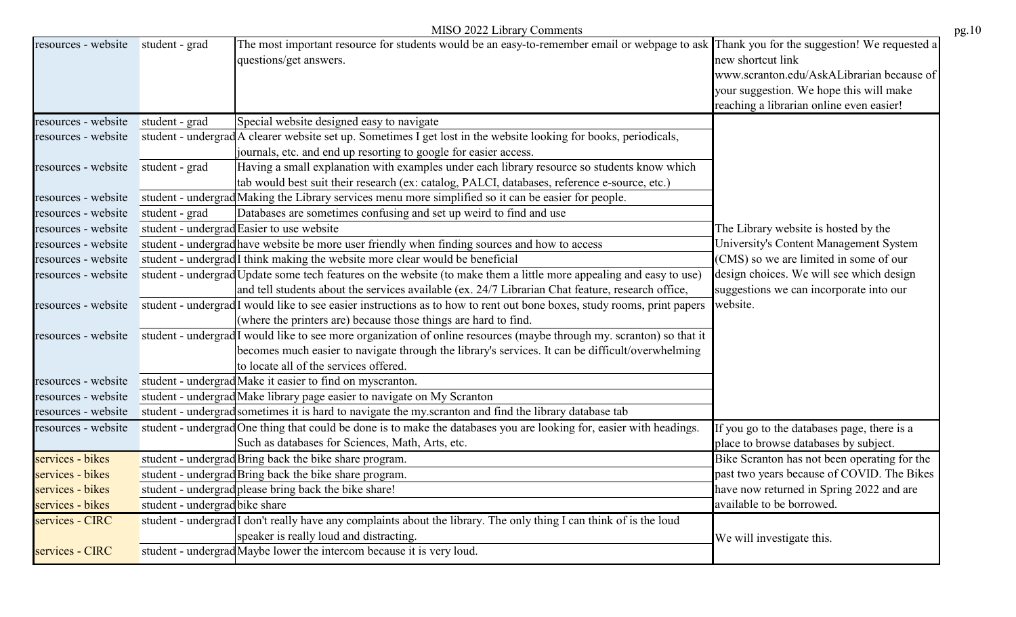|                     |                                | MISO 2022 Library Comments                                                                                                                                           |                                                                                                                                                       | pg.10 |
|---------------------|--------------------------------|----------------------------------------------------------------------------------------------------------------------------------------------------------------------|-------------------------------------------------------------------------------------------------------------------------------------------------------|-------|
| resources - website | student - grad                 | The most important resource for students would be an easy-to-remember email or webpage to ask Thank you for the suggestion! We requested a<br>questions/get answers. | new shortcut link<br>www.scranton.edu/AskALibrarian because of<br>your suggestion. We hope this will make<br>reaching a librarian online even easier! |       |
| resources - website | student - grad                 | Special website designed easy to navigate                                                                                                                            |                                                                                                                                                       |       |
| resources - website |                                | student - undergrad A clearer website set up. Sometimes I get lost in the website looking for books, periodicals,                                                    |                                                                                                                                                       |       |
|                     |                                | journals, etc. and end up resorting to google for easier access.                                                                                                     |                                                                                                                                                       |       |
| resources - website | student - grad                 | Having a small explanation with examples under each library resource so students know which                                                                          |                                                                                                                                                       |       |
|                     |                                | tab would best suit their research (ex: catalog, PALCI, databases, reference e-source, etc.)                                                                         |                                                                                                                                                       |       |
| resources - website |                                | student - undergrad Making the Library services menu more simplified so it can be easier for people.                                                                 |                                                                                                                                                       |       |
| resources - website | student - grad                 | Databases are sometimes confusing and set up weird to find and use                                                                                                   |                                                                                                                                                       |       |
| resources - website |                                | student - undergrad Easier to use website                                                                                                                            | The Library website is hosted by the                                                                                                                  |       |
| resources - website |                                | student - undergrad have website be more user friendly when finding sources and how to access                                                                        | University's Content Management System                                                                                                                |       |
| resources - website |                                | student - undergrad <sup>[1</sup> think making the website more clear would be beneficial                                                                            | (CMS) so we are limited in some of our                                                                                                                |       |
| resources - website |                                | student - undergrad Update some tech features on the website (to make them a little more appealing and easy to use)                                                  | design choices. We will see which design                                                                                                              |       |
|                     |                                | and tell students about the services available (ex. 24/7 Librarian Chat feature, research office,                                                                    | suggestions we can incorporate into our                                                                                                               |       |
| resources - website |                                | student - undergrad <sup>I</sup> would like to see easier instructions as to how to rent out bone boxes, study rooms, print papers                                   | website.                                                                                                                                              |       |
|                     |                                | (where the printers are) because those things are hard to find.                                                                                                      |                                                                                                                                                       |       |
| resources - website |                                | student - undergrad <sup>I</sup> would like to see more organization of online resources (maybe through my. scranton) so that it                                     |                                                                                                                                                       |       |
|                     |                                | becomes much easier to navigate through the library's services. It can be difficult/overwhelming                                                                     |                                                                                                                                                       |       |
|                     |                                | to locate all of the services offered.                                                                                                                               |                                                                                                                                                       |       |
| resources - website |                                | student - undergrad Make it easier to find on myscranton.                                                                                                            |                                                                                                                                                       |       |
| resources - website |                                | student - undergrad Make library page easier to navigate on My Scranton                                                                                              |                                                                                                                                                       |       |
| resources - website |                                | student - undergrad sometimes it is hard to navigate the my.scranton and find the library database tab                                                               |                                                                                                                                                       |       |
| resources - website |                                | student - undergrad One thing that could be done is to make the databases you are looking for, easier with headings.                                                 | If you go to the databases page, there is a                                                                                                           |       |
|                     |                                | Such as databases for Sciences, Math, Arts, etc.                                                                                                                     | place to browse databases by subject.                                                                                                                 |       |
| services - bikes    |                                | student - undergrad Bring back the bike share program.                                                                                                               | Bike Scranton has not been operating for the                                                                                                          |       |
| services - bikes    |                                | student - undergrad Bring back the bike share program.                                                                                                               | past two years because of COVID. The Bikes                                                                                                            |       |
| services - bikes    |                                | student - undergrad please bring back the bike share!                                                                                                                | have now returned in Spring 2022 and are                                                                                                              |       |
| services - bikes    | student - undergrad bike share |                                                                                                                                                                      | available to be borrowed.                                                                                                                             |       |
| services - CIRC     |                                | student - undergrad I don't really have any complaints about the library. The only thing I can think of is the loud                                                  |                                                                                                                                                       |       |
|                     |                                | speaker is really loud and distracting.                                                                                                                              | We will investigate this.                                                                                                                             |       |
| services - CIRC     |                                | student - undergrad Maybe lower the intercom because it is very loud.                                                                                                |                                                                                                                                                       |       |
|                     |                                |                                                                                                                                                                      |                                                                                                                                                       |       |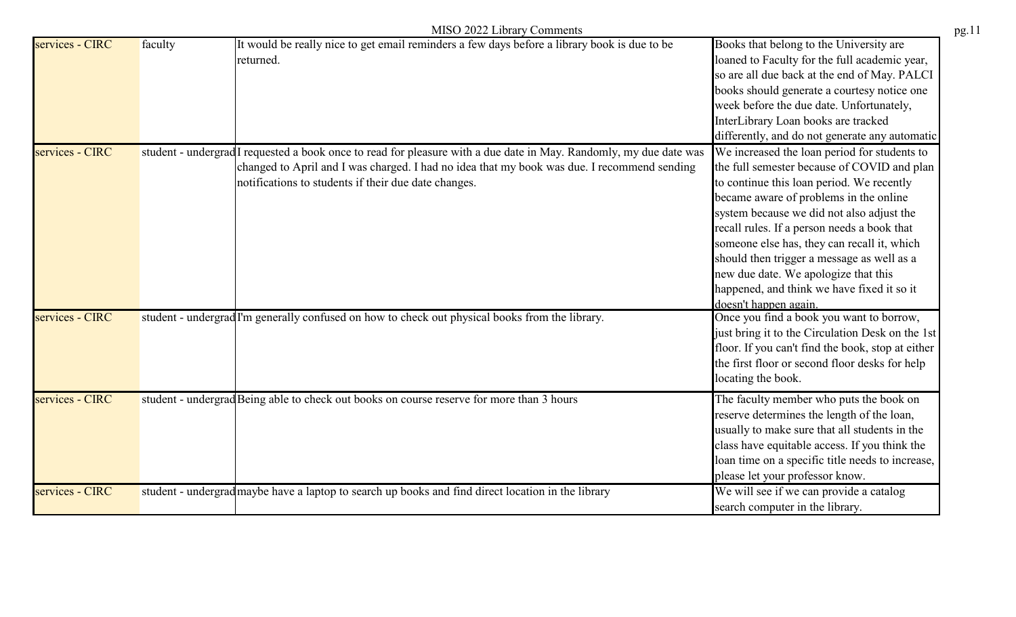|                 | MISO 2022 Library Comments                                                                                                                                                                                                                                                |                                                                                                                                                                                                                                                                                                                                                                                                                                                                                            |
|-----------------|---------------------------------------------------------------------------------------------------------------------------------------------------------------------------------------------------------------------------------------------------------------------------|--------------------------------------------------------------------------------------------------------------------------------------------------------------------------------------------------------------------------------------------------------------------------------------------------------------------------------------------------------------------------------------------------------------------------------------------------------------------------------------------|
| services - CIRC | It would be really nice to get email reminders a few days before a library book is due to be<br>faculty<br>returned.                                                                                                                                                      | Books that belong to the University are<br>loaned to Faculty for the full academic year,<br>so are all due back at the end of May. PALCI<br>books should generate a courtesy notice one<br>week before the due date. Unfortunately,<br>InterLibrary Loan books are tracked<br>differently, and do not generate any automatic                                                                                                                                                               |
| services - CIRC | student - undergrad I requested a book once to read for pleasure with a due date in May. Randomly, my due date was<br>changed to April and I was charged. I had no idea that my book was due. I recommend sending<br>notifications to students if their due date changes. | We increased the loan period for students to<br>the full semester because of COVID and plan<br>to continue this loan period. We recently<br>became aware of problems in the online<br>system because we did not also adjust the<br>recall rules. If a person needs a book that<br>someone else has, they can recall it, which<br>should then trigger a message as well as a<br>new due date. We apologize that this<br>happened, and think we have fixed it so it<br>doesn't happen again. |
| services - CIRC | student - undergrad I'm generally confused on how to check out physical books from the library.                                                                                                                                                                           | Once you find a book you want to borrow,<br>just bring it to the Circulation Desk on the 1st<br>floor. If you can't find the book, stop at either<br>the first floor or second floor desks for help<br>locating the book.                                                                                                                                                                                                                                                                  |
| services - CIRC | student - undergrad Being able to check out books on course reserve for more than 3 hours                                                                                                                                                                                 | The faculty member who puts the book on<br>reserve determines the length of the loan,<br>usually to make sure that all students in the<br>class have equitable access. If you think the<br>loan time on a specific title needs to increase,<br>please let your professor know.                                                                                                                                                                                                             |
| services - CIRC | student - undergrad maybe have a laptop to search up books and find direct location in the library                                                                                                                                                                        | We will see if we can provide a catalog<br>search computer in the library.                                                                                                                                                                                                                                                                                                                                                                                                                 |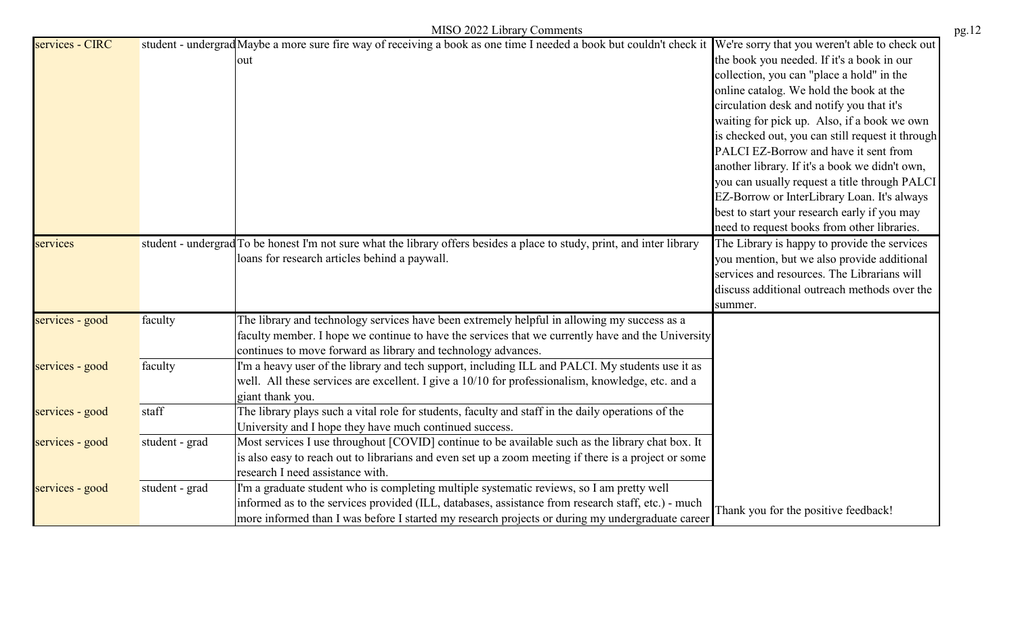|                 |                | MISO 2022 Library Comments                                                                                                                                                                                                                                                                          |                                                                                                                                                                                                                                                                                                                                                                                                                                                                                                                                                                                                                                |
|-----------------|----------------|-----------------------------------------------------------------------------------------------------------------------------------------------------------------------------------------------------------------------------------------------------------------------------------------------------|--------------------------------------------------------------------------------------------------------------------------------------------------------------------------------------------------------------------------------------------------------------------------------------------------------------------------------------------------------------------------------------------------------------------------------------------------------------------------------------------------------------------------------------------------------------------------------------------------------------------------------|
| services - CIRC |                | student - undergrad Maybe a more sure fire way of receiving a book as one time I needed a book but couldn't check it<br>out                                                                                                                                                                         | We're sorry that you weren't able to check out<br>the book you needed. If it's a book in our<br>collection, you can "place a hold" in the<br>online catalog. We hold the book at the<br>circulation desk and notify you that it's<br>waiting for pick up. Also, if a book we own<br>is checked out, you can still request it through<br>PALCI EZ-Borrow and have it sent from<br>another library. If it's a book we didn't own,<br>you can usually request a title through PALCI<br>EZ-Borrow or InterLibrary Loan. It's always<br>best to start your research early if you may<br>need to request books from other libraries. |
| services        |                | student - undergrad To be honest I'm not sure what the library offers besides a place to study, print, and inter library<br>loans for research articles behind a paywall.                                                                                                                           | The Library is happy to provide the services<br>you mention, but we also provide additional<br>services and resources. The Librarians will<br>discuss additional outreach methods over the<br>summer.                                                                                                                                                                                                                                                                                                                                                                                                                          |
| services - good | faculty        | The library and technology services have been extremely helpful in allowing my success as a<br>faculty member. I hope we continue to have the services that we currently have and the University<br>continues to move forward as library and technology advances.                                   |                                                                                                                                                                                                                                                                                                                                                                                                                                                                                                                                                                                                                                |
| services - good | faculty        | I'm a heavy user of the library and tech support, including ILL and PALCI. My students use it as<br>well. All these services are excellent. I give a 10/10 for professionalism, knowledge, etc. and a<br>giant thank you.                                                                           |                                                                                                                                                                                                                                                                                                                                                                                                                                                                                                                                                                                                                                |
| services - good | staff          | The library plays such a vital role for students, faculty and staff in the daily operations of the<br>University and I hope they have much continued success.                                                                                                                                       |                                                                                                                                                                                                                                                                                                                                                                                                                                                                                                                                                                                                                                |
| services - good | student - grad | Most services I use throughout [COVID] continue to be available such as the library chat box. It<br>is also easy to reach out to librarians and even set up a zoom meeting if there is a project or some<br>research I need assistance with.                                                        |                                                                                                                                                                                                                                                                                                                                                                                                                                                                                                                                                                                                                                |
| services - good | student - grad | I'm a graduate student who is completing multiple systematic reviews, so I am pretty well<br>informed as to the services provided (ILL, databases, assistance from research staff, etc.) - much<br>more informed than I was before I started my research projects or during my undergraduate career | Thank you for the positive feedback!                                                                                                                                                                                                                                                                                                                                                                                                                                                                                                                                                                                           |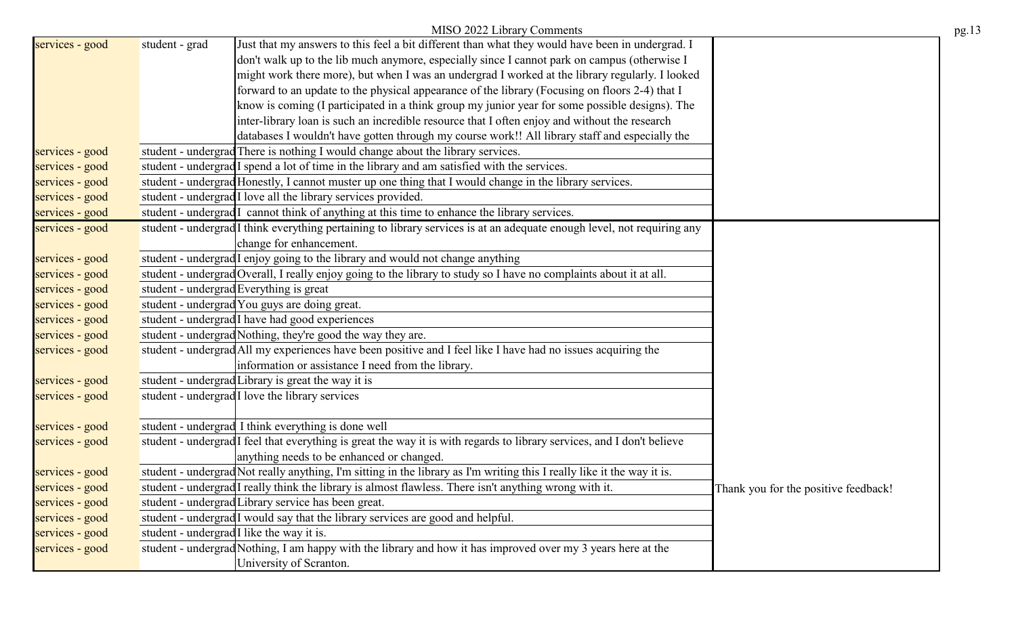|                 |                | MISO 2022 Library Comments                                                                                                         |                                      |
|-----------------|----------------|------------------------------------------------------------------------------------------------------------------------------------|--------------------------------------|
| services - good | student - grad | Just that my answers to this feel a bit different than what they would have been in undergrad. I                                   |                                      |
|                 |                | don't walk up to the lib much anymore, especially since I cannot park on campus (otherwise I                                       |                                      |
|                 |                | might work there more), but when I was an undergrad I worked at the library regularly. I looked                                    |                                      |
|                 |                | forward to an update to the physical appearance of the library (Focusing on floors 2-4) that I                                     |                                      |
|                 |                | know is coming (I participated in a think group my junior year for some possible designs). The                                     |                                      |
|                 |                | inter-library loan is such an incredible resource that I often enjoy and without the research                                      |                                      |
|                 |                | databases I wouldn't have gotten through my course work!! All library staff and especially the                                     |                                      |
| services - good |                | student - undergrad There is nothing I would change about the library services.                                                    |                                      |
| services - good |                | student - undergrad I spend a lot of time in the library and am satisfied with the services.                                       |                                      |
| services - good |                | student - undergrad Honestly, I cannot muster up one thing that I would change in the library services.                            |                                      |
| services - good |                | student - undergrad <sup>I</sup> love all the library services provided.                                                           |                                      |
| services - good |                | student - undergrad I cannot think of anything at this time to enhance the library services.                                       |                                      |
| services - good |                | student - undergrad <sup>I</sup> think everything pertaining to library services is at an adequate enough level, not requiring any |                                      |
|                 |                | change for enhancement.                                                                                                            |                                      |
| services - good |                | student - undergrad I enjoy going to the library and would not change anything                                                     |                                      |
| services - good |                | student - undergrad Overall, I really enjoy going to the library to study so I have no complaints about it at all.                 |                                      |
| services - good |                | student - undergrad Everything is great                                                                                            |                                      |
| services - good |                | student - undergrad You guys are doing great.                                                                                      |                                      |
| services - good |                | student - undergrad I have had good experiences                                                                                    |                                      |
| services - good |                | student - undergrad Nothing, they're good the way they are.                                                                        |                                      |
| services - good |                | student - undergrad All my experiences have been positive and I feel like I have had no issues acquiring the                       |                                      |
|                 |                | information or assistance I need from the library.                                                                                 |                                      |
| services - good |                | student - undergrad Library is great the way it is                                                                                 |                                      |
| services - good |                | student - undergrad I love the library services                                                                                    |                                      |
|                 |                |                                                                                                                                    |                                      |
| services - good |                | student - undergrad I think everything is done well                                                                                |                                      |
| services - good |                | student - undergrad <sup>I</sup> feel that everything is great the way it is with regards to library services, and I don't believe |                                      |
|                 |                | anything needs to be enhanced or changed.                                                                                          |                                      |
| services - good |                | student - undergrad Not really anything, I'm sitting in the library as I'm writing this I really like it the way it is.            |                                      |
| services - good |                | student - undergrad <sup>[I really think the library is almost flawless. There isn't anything wrong with it.</sup>                 | Thank you for the positive feedback! |
| services - good |                | student - undergrad Library service has been great.                                                                                |                                      |
| services - good |                | student - undergrad I would say that the library services are good and helpful.                                                    |                                      |
| services - good |                | student - undergrad I like the way it is.                                                                                          |                                      |
| services - good |                | student - undergrad Nothing, I am happy with the library and how it has improved over my 3 years here at the                       |                                      |
|                 |                | University of Scranton.                                                                                                            |                                      |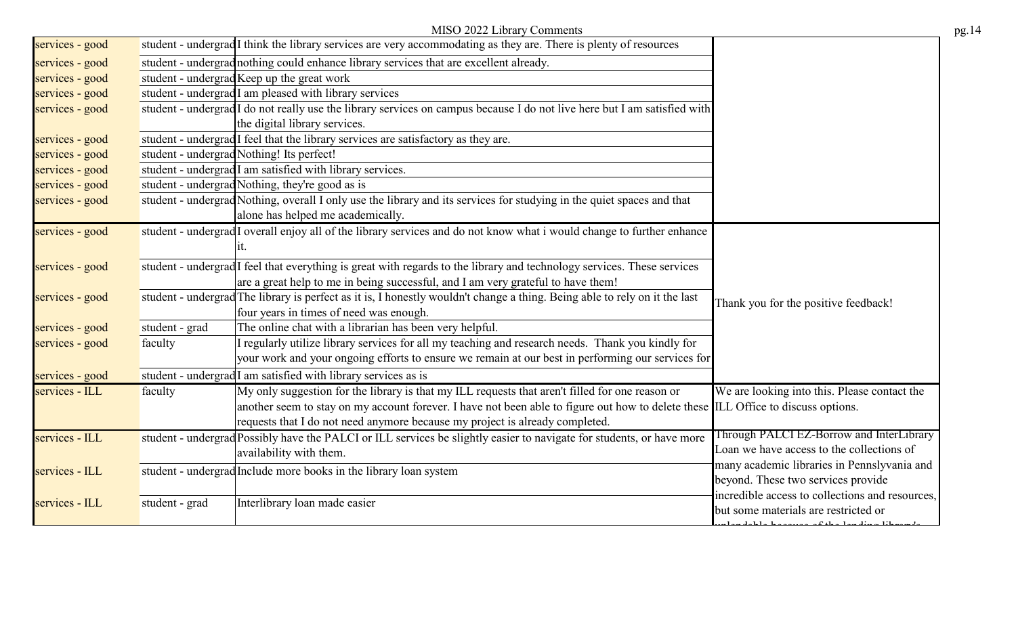|                 | MISO 2022 Library Comments                                                                                                        |                                                              |
|-----------------|-----------------------------------------------------------------------------------------------------------------------------------|--------------------------------------------------------------|
| services - good | student - undergrad <sup>I</sup> think the library services are very accommodating as they are. There is plenty of resources      |                                                              |
| services - good | student - undergrad nothing could enhance library services that are excellent already.                                            |                                                              |
| services - good | student - undergrad Keep up the great work                                                                                        |                                                              |
| services - good | student - undergrad I am pleased with library services                                                                            |                                                              |
| services - good | student - undergrad I do not really use the library services on campus because I do not live here but I am satisfied with         |                                                              |
|                 | the digital library services.                                                                                                     |                                                              |
| services - good | student - undergrad I feel that the library services are satisfactory as they are.                                                |                                                              |
| services - good | student - undergrad Nothing! Its perfect!                                                                                         |                                                              |
| services - good | student - undergrad <sup>I</sup> am satisfied with library services.                                                              |                                                              |
| services - good | student - undergrad Nothing, they're good as is                                                                                   |                                                              |
| services - good | student - undergrad Nothing, overall I only use the library and its services for studying in the quiet spaces and that            |                                                              |
|                 | alone has helped me academically.                                                                                                 |                                                              |
| services - good | student - undergrad I overall enjoy all of the library services and do not know what i would change to further enhance            |                                                              |
|                 |                                                                                                                                   |                                                              |
| services - good | student - undergrad I feel that everything is great with regards to the library and technology services. These services           |                                                              |
|                 | are a great help to me in being successful, and I am very grateful to have them!                                                  |                                                              |
| services - good | student - undergrad The library is perfect as it is, I honestly wouldn't change a thing. Being able to rely on it the last        | Thank you for the positive feedback!                         |
|                 | four years in times of need was enough.                                                                                           |                                                              |
| services - good | The online chat with a librarian has been very helpful.<br>student - grad                                                         |                                                              |
| services - good | I regularly utilize library services for all my teaching and research needs. Thank you kindly for<br>faculty                      |                                                              |
|                 | your work and your ongoing efforts to ensure we remain at our best in performing our services for                                 |                                                              |
| services - good | student - undergrad <sup>I</sup> am satisfied with library services as is                                                         |                                                              |
| services - ILL  | My only suggestion for the library is that my ILL requests that aren't filled for one reason or<br>faculty                        | We are looking into this. Please contact the                 |
|                 | another seem to stay on my account forever. I have not been able to figure out how to delete these ILL Office to discuss options. |                                                              |
|                 | requests that I do not need anymore because my project is already completed.                                                      |                                                              |
| services - ILL  | student - undergrad Possibly have the PALCI or ILL services be slightly easier to navigate for students, or have more             | Through PALCI EZ-Borrow and InterLibrary                     |
|                 | availability with them.                                                                                                           | Loan we have access to the collections of                    |
| services - ILL  | student - undergrad Include more books in the library loan system                                                                 | many academic libraries in Pennslyvania and                  |
|                 |                                                                                                                                   | beyond. These two services provide                           |
| services - ILL  | Interlibrary loan made easier<br>student - grad                                                                                   | incredible access to collections and resources,              |
|                 |                                                                                                                                   | but some materials are restricted or<br>$0.41 - 1 - 11 - 11$ |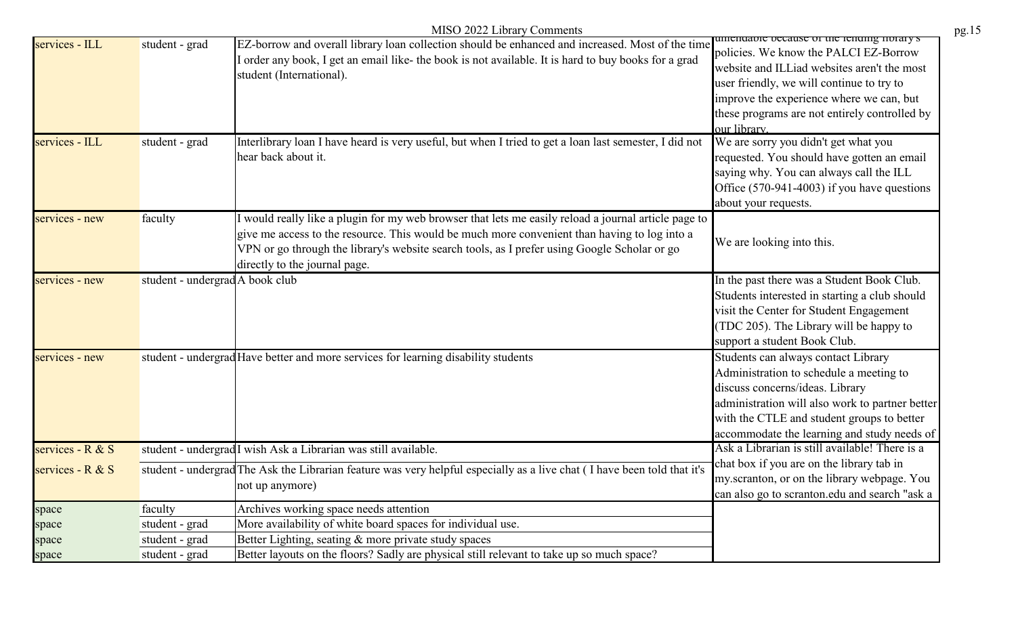|                    |                                 | MISO 2022 Library Comments                                                                                                                                                                                                                                                                                                            |                                                                                                                                                                                                                                                                                             |
|--------------------|---------------------------------|---------------------------------------------------------------------------------------------------------------------------------------------------------------------------------------------------------------------------------------------------------------------------------------------------------------------------------------|---------------------------------------------------------------------------------------------------------------------------------------------------------------------------------------------------------------------------------------------------------------------------------------------|
| services - ILL     | student - grad                  | EZ-borrow and overall library loan collection should be enhanced and increased. Most of the time<br>I order any book, I get an email like- the book is not available. It is hard to buy books for a grad<br>student (International).                                                                                                  | umendable because of the fending notary's<br>policies. We know the PALCI EZ-Borrow<br>website and ILLiad websites aren't the most<br>user friendly, we will continue to try to<br>improve the experience where we can, but<br>these programs are not entirely controlled by<br>our library. |
| services - ILL     | student - grad                  | Interlibrary loan I have heard is very useful, but when I tried to get a loan last semester, I did not<br>hear back about it.                                                                                                                                                                                                         | We are sorry you didn't get what you<br>requested. You should have gotten an email<br>saying why. You can always call the ILL<br>Office (570-941-4003) if you have questions<br>about your requests.                                                                                        |
| services - new     | faculty                         | I would really like a plugin for my web browser that lets me easily reload a journal article page to<br>give me access to the resource. This would be much more convenient than having to log into a<br>VPN or go through the library's website search tools, as I prefer using Google Scholar or go<br>directly to the journal page. | We are looking into this.                                                                                                                                                                                                                                                                   |
| services - new     | student - undergrad A book club |                                                                                                                                                                                                                                                                                                                                       | In the past there was a Student Book Club.<br>Students interested in starting a club should<br>visit the Center for Student Engagement<br>(TDC 205). The Library will be happy to<br>support a student Book Club.                                                                           |
| services - new     |                                 | student - undergrad Have better and more services for learning disability students                                                                                                                                                                                                                                                    | Students can always contact Library<br>Administration to schedule a meeting to<br>discuss concerns/ideas. Library<br>administration will also work to partner better<br>with the CTLE and student groups to better<br>accommodate the learning and study needs of                           |
| services - $R & S$ |                                 | student - undergrad <sup>I</sup> wish Ask a Librarian was still available.                                                                                                                                                                                                                                                            | Ask a Librarian is still available! There is a                                                                                                                                                                                                                                              |
| services - $R & S$ |                                 | student - undergrad The Ask the Librarian feature was very helpful especially as a live chat (I have been told that it's<br>not up anymore)                                                                                                                                                                                           | chat box if you are on the library tab in<br>my.scranton, or on the library webpage. You<br>can also go to scranton.edu and search "ask a                                                                                                                                                   |
| space              | faculty                         | Archives working space needs attention                                                                                                                                                                                                                                                                                                |                                                                                                                                                                                                                                                                                             |
| space              | student - grad                  | More availability of white board spaces for individual use.                                                                                                                                                                                                                                                                           |                                                                                                                                                                                                                                                                                             |
| space              | student - grad                  | Better Lighting, seating & more private study spaces                                                                                                                                                                                                                                                                                  |                                                                                                                                                                                                                                                                                             |
| space              | student - grad                  | Better layouts on the floors? Sadly are physical still relevant to take up so much space?                                                                                                                                                                                                                                             |                                                                                                                                                                                                                                                                                             |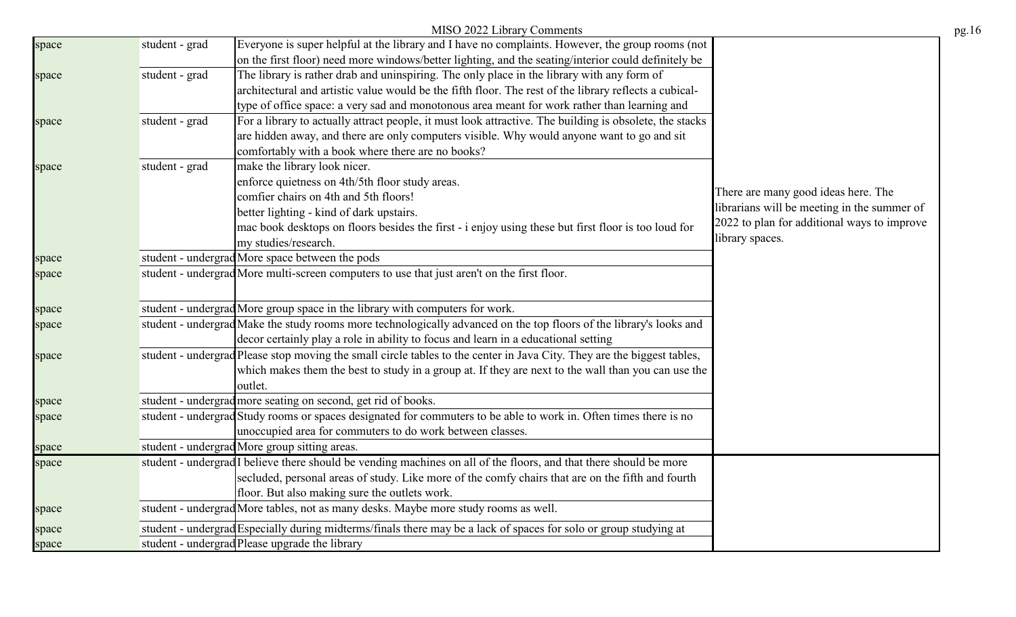|       |                | MISO 2022 Library Comments                                                                                                    |                                                                | pg.16 |
|-------|----------------|-------------------------------------------------------------------------------------------------------------------------------|----------------------------------------------------------------|-------|
| space | student - grad | Everyone is super helpful at the library and I have no complaints. However, the group rooms (not                              |                                                                |       |
|       |                | on the first floor) need more windows/better lighting, and the seating/interior could definitely be                           |                                                                |       |
| space | student - grad | The library is rather drab and uninspiring. The only place in the library with any form of                                    |                                                                |       |
|       |                | architectural and artistic value would be the fifth floor. The rest of the library reflects a cubical-                        |                                                                |       |
|       |                | type of office space: a very sad and monotonous area meant for work rather than learning and                                  |                                                                |       |
| space | student - grad | For a library to actually attract people, it must look attractive. The building is obsolete, the stacks                       |                                                                |       |
|       |                | are hidden away, and there are only computers visible. Why would anyone want to go and sit                                    |                                                                |       |
|       |                | comfortably with a book where there are no books?                                                                             |                                                                |       |
| space | student - grad | make the library look nicer.                                                                                                  |                                                                |       |
|       |                | enforce quietness on 4th/5th floor study areas.                                                                               |                                                                |       |
|       |                | comfier chairs on 4th and 5th floors!                                                                                         | There are many good ideas here. The                            |       |
|       |                | better lighting - kind of dark upstairs.                                                                                      | librarians will be meeting in the summer of                    |       |
|       |                | mac book desktops on floors besides the first - i enjoy using these but first floor is too loud for                           | 2022 to plan for additional ways to improve<br>library spaces. |       |
|       |                | my studies/research.                                                                                                          |                                                                |       |
| space |                | student - undergrad More space between the pods                                                                               |                                                                |       |
| space |                | student - undergrad More multi-screen computers to use that just aren't on the first floor.                                   |                                                                |       |
| space |                | student - undergrad More group space in the library with computers for work.                                                  |                                                                |       |
| space |                | student - undergrad Make the study rooms more technologically advanced on the top floors of the library's looks and           |                                                                |       |
|       |                | decor certainly play a role in ability to focus and learn in a educational setting                                            |                                                                |       |
| space |                | student - undergrad Please stop moving the small circle tables to the center in Java City. They are the biggest tables,       |                                                                |       |
|       |                | which makes them the best to study in a group at. If they are next to the wall than you can use the                           |                                                                |       |
|       |                | outlet.                                                                                                                       |                                                                |       |
| space |                | student - undergrad more seating on second, get rid of books.                                                                 |                                                                |       |
| space |                | student - undergrad Study rooms or spaces designated for commuters to be able to work in. Often times there is no             |                                                                |       |
|       |                | unoccupied area for commuters to do work between classes.                                                                     |                                                                |       |
| space |                | student - undergrad More group sitting areas.                                                                                 |                                                                |       |
| space |                | student - undergrad <sup>I</sup> believe there should be vending machines on all of the floors, and that there should be more |                                                                |       |
|       |                | secluded, personal areas of study. Like more of the comfy chairs that are on the fifth and fourth                             |                                                                |       |
|       |                | floor. But also making sure the outlets work.                                                                                 |                                                                |       |
| space |                | student - undergrad More tables, not as many desks. Maybe more study rooms as well.                                           |                                                                |       |
| space |                | student - undergrad Especially during midterms/finals there may be a lack of spaces for solo or group studying at             |                                                                |       |
| space |                | student - undergrad Please upgrade the library                                                                                |                                                                |       |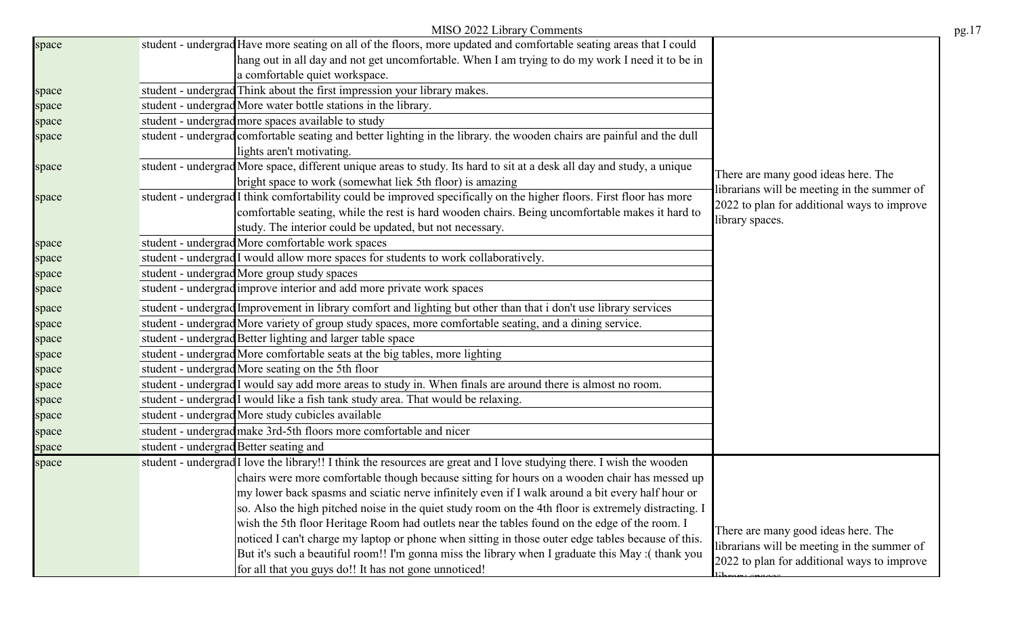|       | MISO 2022 Library Comments                                                                                                                                                                                              |                                             | pg.17 |
|-------|-------------------------------------------------------------------------------------------------------------------------------------------------------------------------------------------------------------------------|---------------------------------------------|-------|
| space | student - undergrad Have more seating on all of the floors, more updated and comfortable seating areas that I could<br>hang out in all day and not get uncomfortable. When I am trying to do my work I need it to be in |                                             |       |
|       | a comfortable quiet workspace.                                                                                                                                                                                          |                                             |       |
| space | student - undergrad Think about the first impression your library makes.                                                                                                                                                |                                             |       |
| space | student - undergrad More water bottle stations in the library.                                                                                                                                                          |                                             |       |
| space | student - undergrad more spaces available to study                                                                                                                                                                      |                                             |       |
| space | student - undergrad comfortable seating and better lighting in the library. the wooden chairs are painful and the dull                                                                                                  |                                             |       |
|       | lights aren't motivating.                                                                                                                                                                                               |                                             |       |
| space | student - undergrad More space, different unique areas to study. Its hard to sit at a desk all day and study, a unique                                                                                                  |                                             |       |
|       | bright space to work (somewhat liek 5th floor) is amazing                                                                                                                                                               | There are many good ideas here. The         |       |
| space | student - undergrad I think comfortability could be improved specifically on the higher floors. First floor has more                                                                                                    | librarians will be meeting in the summer of |       |
|       | comfortable seating, while the rest is hard wooden chairs. Being uncomfortable makes it hard to                                                                                                                         | 2022 to plan for additional ways to improve |       |
|       | study. The interior could be updated, but not necessary.                                                                                                                                                                | library spaces.                             |       |
| space | student - undergrad More comfortable work spaces                                                                                                                                                                        |                                             |       |
| space | student - undergrad I would allow more spaces for students to work collaboratively.                                                                                                                                     |                                             |       |
| space | student - undergrad More group study spaces                                                                                                                                                                             |                                             |       |
| space | student - undergrad improve interior and add more private work spaces                                                                                                                                                   |                                             |       |
| space | student - undergrad Improvement in library comfort and lighting but other than that i don't use library services                                                                                                        |                                             |       |
| space | student - undergrad More variety of group study spaces, more comfortable seating, and a dining service.                                                                                                                 |                                             |       |
| space | student - undergrad Better lighting and larger table space                                                                                                                                                              |                                             |       |
| space | student - undergrad More comfortable seats at the big tables, more lighting                                                                                                                                             |                                             |       |
| space | student - undergrad More seating on the 5th floor                                                                                                                                                                       |                                             |       |
| space | student - undergrad I would say add more areas to study in. When finals are around there is almost no room.                                                                                                             |                                             |       |
| space | student - undergrad I would like a fish tank study area. That would be relaxing.                                                                                                                                        |                                             |       |
| space | student - undergrad More study cubicles available                                                                                                                                                                       |                                             |       |
| space | student - undergrad make 3rd-5th floors more comfortable and nicer                                                                                                                                                      |                                             |       |
| space | student - undergrad Better seating and                                                                                                                                                                                  |                                             |       |
| space | student - undergrad I love the library!! I think the resources are great and I love studying there. I wish the wooden                                                                                                   |                                             |       |
|       | chairs were more comfortable though because sitting for hours on a wooden chair has messed up                                                                                                                           |                                             |       |
|       | my lower back spasms and sciatic nerve infinitely even if I walk around a bit every half hour or                                                                                                                        |                                             |       |
|       | so. Also the high pitched noise in the quiet study room on the 4th floor is extremely distracting. I                                                                                                                    |                                             |       |
|       | wish the 5th floor Heritage Room had outlets near the tables found on the edge of the room. I                                                                                                                           | There are many good ideas here. The         |       |
|       | noticed I can't charge my laptop or phone when sitting in those outer edge tables because of this.                                                                                                                      | librarians will be meeting in the summer of |       |
|       | But it's such a beautiful room!! I'm gonna miss the library when I graduate this May :(thank you                                                                                                                        | 2022 to plan for additional ways to improve |       |
|       | for all that you guys do!! It has not gone unnoticed!                                                                                                                                                                   |                                             |       |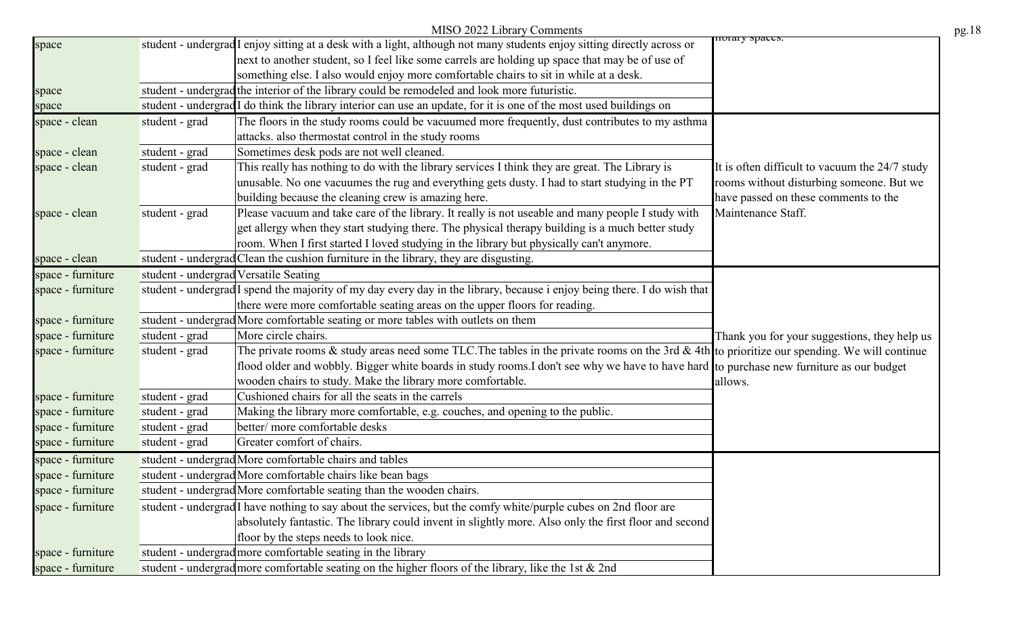|                   |                | MISO 2022 Library Comments                                                                                                                         |                                                |
|-------------------|----------------|----------------------------------------------------------------------------------------------------------------------------------------------------|------------------------------------------------|
| space             |                | student - undergrad I enjoy sitting at a desk with a light, although not many students enjoy sitting directly across or                            | noral y spaces.                                |
|                   |                | next to another student, so I feel like some carrels are holding up space that may be of use of                                                    |                                                |
|                   |                | something else. I also would enjoy more comfortable chairs to sit in while at a desk.                                                              |                                                |
| space             |                | student - undergrad the interior of the library could be remodeled and look more futuristic.                                                       |                                                |
| space             |                | student - undergrad I do think the library interior can use an update, for it is one of the most used buildings on                                 |                                                |
| space - clean     | student - grad | The floors in the study rooms could be vacuumed more frequently, dust contributes to my asthma                                                     |                                                |
|                   |                | attacks. also thermostat control in the study rooms                                                                                                |                                                |
| space - clean     | student - grad | Sometimes desk pods are not well cleaned.                                                                                                          |                                                |
| space - clean     | student - grad | This really has nothing to do with the library services I think they are great. The Library is                                                     | It is often difficult to vacuum the 24/7 study |
|                   |                | unusable. No one vacuumes the rug and everything gets dusty. I had to start studying in the PT                                                     | rooms without disturbing someone. But we       |
|                   |                | building because the cleaning crew is amazing here.                                                                                                | have passed on these comments to the           |
| space - clean     | student - grad | Please vacuum and take care of the library. It really is not useable and many people I study with                                                  | Maintenance Staff.                             |
|                   |                | get allergy when they start studying there. The physical therapy building is a much better study                                                   |                                                |
|                   |                | room. When I first started I loved studying in the library but physically can't anymore.                                                           |                                                |
| space - clean     |                | student - undergrad Clean the cushion furniture in the library, they are disgusting.                                                               |                                                |
| space - furniture |                | student - undergrad Versatile Seating                                                                                                              |                                                |
| space - furniture |                | student - undergrad I spend the majority of my day every day in the library, because i enjoy being there. I do wish that                           |                                                |
|                   |                | there were more comfortable seating areas on the upper floors for reading.                                                                         |                                                |
| space - furniture |                | student - undergrad More comfortable seating or more tables with outlets on them                                                                   |                                                |
| space - furniture | student - grad | More circle chairs.                                                                                                                                | Thank you for your suggestions, they help us   |
| space - furniture | student - grad | The private rooms $\&$ study areas need some TLC. The tables in the private rooms on the 3rd $\&$ 4th to prioritize our spending. We will continue |                                                |
|                   |                | flood older and wobbly. Bigger white boards in study rooms.I don't see why we have to have hard to purchase new furniture as our budget            |                                                |
|                   |                | wooden chairs to study. Make the library more comfortable.                                                                                         | allows.                                        |
| space - furniture | student - grad | Cushioned chairs for all the seats in the carrels                                                                                                  |                                                |
| space - furniture | student - grad | Making the library more comfortable, e.g. couches, and opening to the public.                                                                      |                                                |
| space - furniture | student - grad | better/ more comfortable desks                                                                                                                     |                                                |
| space - furniture | student - grad | Greater comfort of chairs.                                                                                                                         |                                                |
| space - furniture |                | student - undergrad More comfortable chairs and tables                                                                                             |                                                |
| space - furniture |                | student - undergrad More comfortable chairs like bean bags                                                                                         |                                                |
| space - furniture |                | student - undergrad More comfortable seating than the wooden chairs.                                                                               |                                                |
| space - furniture |                | student - undergrad I have nothing to say about the services, but the comfy white/purple cubes on 2nd floor are                                    |                                                |
|                   |                | absolutely fantastic. The library could invent in slightly more. Also only the first floor and second                                              |                                                |
|                   |                | floor by the steps needs to look nice.                                                                                                             |                                                |
| space - furniture |                | student - undergrad more comfortable seating in the library                                                                                        |                                                |
| space - furniture |                | student - undergrad more comfortable seating on the higher floors of the library, like the 1st & 2nd                                               |                                                |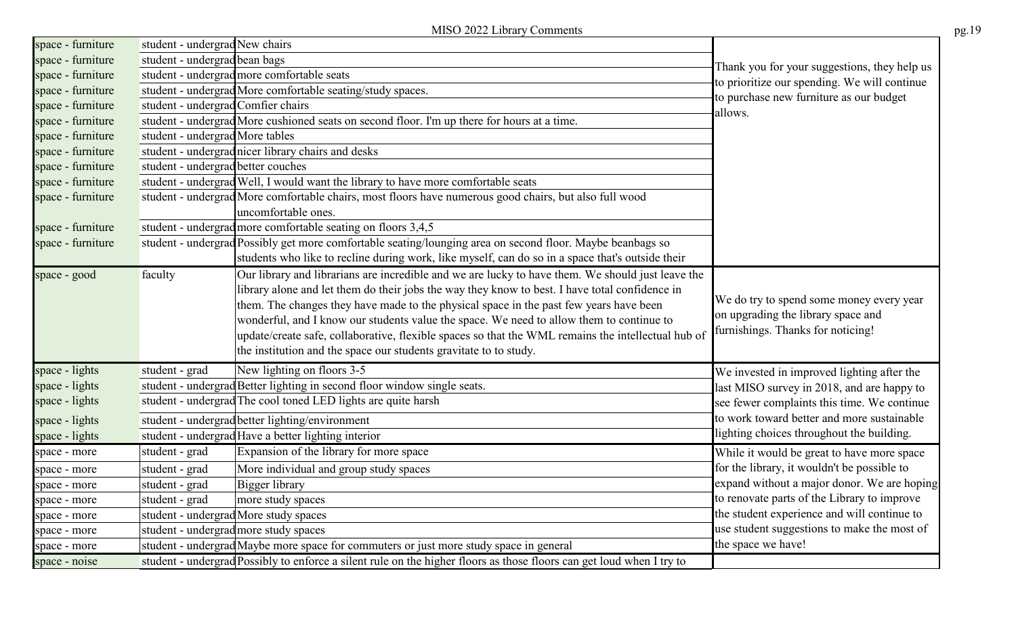|                   |                                    | MISO 2022 Library Comments                                                                                                    |                                              | pg.19 |
|-------------------|------------------------------------|-------------------------------------------------------------------------------------------------------------------------------|----------------------------------------------|-------|
| space - furniture | student - undergrad New chairs     |                                                                                                                               |                                              |       |
| space - furniture | student - undergrad bean bags      |                                                                                                                               | Thank you for your suggestions, they help us |       |
| space - furniture |                                    | student - undergrad more comfortable seats                                                                                    | to prioritize our spending. We will continue |       |
| space - furniture |                                    | student - undergrad More comfortable seating/study spaces.                                                                    | to purchase new furniture as our budget      |       |
| space - furniture | student - undergrad Comfier chairs |                                                                                                                               | allows.                                      |       |
| space - furniture |                                    | student - undergrad More cushioned seats on second floor. I'm up there for hours at a time.                                   |                                              |       |
| space - furniture | student - undergrad More tables    |                                                                                                                               |                                              |       |
| space - furniture |                                    | student - undergrad nicer library chairs and desks                                                                            |                                              |       |
| space - furniture | student - undergrad better couches |                                                                                                                               |                                              |       |
| space - furniture |                                    | student - undergrad Well, I would want the library to have more comfortable seats                                             |                                              |       |
| space - furniture |                                    | student - undergrad More comfortable chairs, most floors have numerous good chairs, but also full wood<br>uncomfortable ones. |                                              |       |
| space - furniture |                                    | student - undergrad more comfortable seating on floors 3,4,5                                                                  |                                              |       |
| space - furniture |                                    | student - undergrad Possibly get more comfortable seating/lounging area on second floor. Maybe beanbags so                    |                                              |       |
|                   |                                    | students who like to recline during work, like myself, can do so in a space that's outside their                              |                                              |       |
| space - good      | faculty                            | Our library and librarians are incredible and we are lucky to have them. We should just leave the                             |                                              |       |
|                   |                                    | library alone and let them do their jobs the way they know to best. I have total confidence in                                |                                              |       |
|                   |                                    | them. The changes they have made to the physical space in the past few years have been                                        | We do try to spend some money every year     |       |
|                   |                                    | wonderful, and I know our students value the space. We need to allow them to continue to                                      | on upgrading the library space and           |       |
|                   |                                    | update/create safe, collaborative, flexible spaces so that the WML remains the intellectual hub of                            | furnishings. Thanks for noticing!            |       |
|                   |                                    | the institution and the space our students gravitate to to study.                                                             |                                              |       |
| space - lights    | student - grad                     | New lighting on floors 3-5                                                                                                    | We invested in improved lighting after the   |       |
| space - lights    |                                    | student - undergrad Better lighting in second floor window single seats.                                                      | last MISO survey in 2018, and are happy to   |       |
| space - lights    |                                    | student - undergrad The cool toned LED lights are quite harsh                                                                 | see fewer complaints this time. We continue  |       |
| space - lights    |                                    | student - undergrad better lighting/environment                                                                               | to work toward better and more sustainable   |       |
| space - lights    |                                    | student - undergrad Have a better lighting interior                                                                           | lighting choices throughout the building.    |       |
| space - more      | student - grad                     | Expansion of the library for more space                                                                                       | While it would be great to have more space   |       |
| space - more      | student - grad                     | More individual and group study spaces                                                                                        | for the library, it wouldn't be possible to  |       |
| space - more      | student - grad                     | Bigger library                                                                                                                | expand without a major donor. We are hoping  |       |
| space - more      | student - grad                     | more study spaces                                                                                                             | to renovate parts of the Library to improve  |       |
| space - more      |                                    | student - undergrad More study spaces                                                                                         | the student experience and will continue to  |       |
| space - more      |                                    | student - undergrad more study spaces                                                                                         | use student suggestions to make the most of  |       |
| space - more      |                                    | student - undergrad Maybe more space for commuters or just more study space in general                                        | the space we have!                           |       |
| space - noise     |                                    | student - undergrad Possibly to enforce a silent rule on the higher floors as those floors can get loud when I try to         |                                              |       |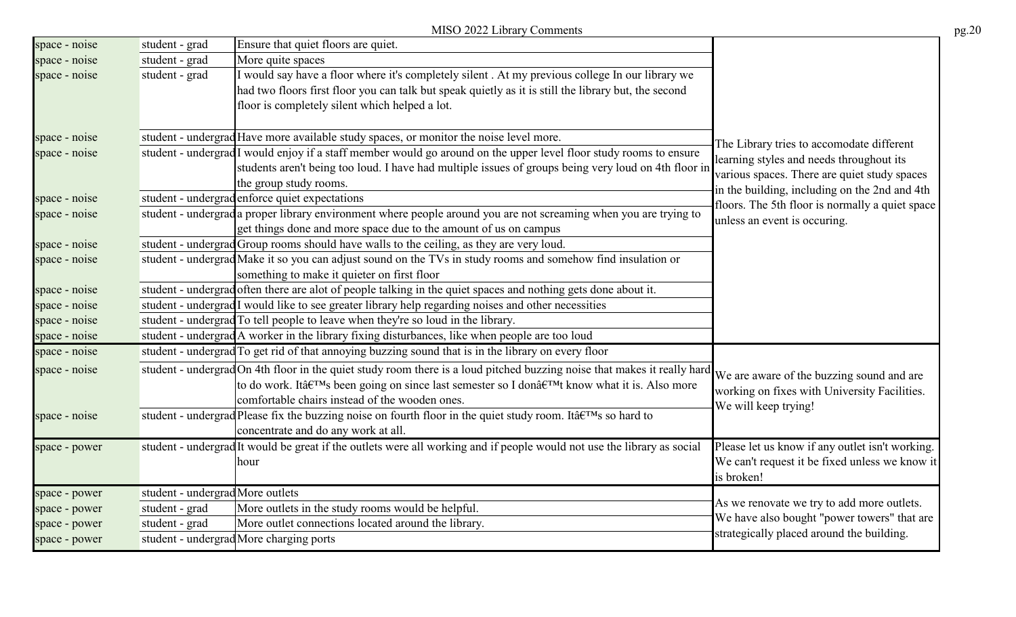|               |                                  | MISO 2022 Library Comments                                                                                                                                         |                                                                                           | pg.20 |
|---------------|----------------------------------|--------------------------------------------------------------------------------------------------------------------------------------------------------------------|-------------------------------------------------------------------------------------------|-------|
| space - noise | student - grad                   | Ensure that quiet floors are quiet.                                                                                                                                |                                                                                           |       |
| space - noise | student - grad                   | More quite spaces                                                                                                                                                  |                                                                                           |       |
| space - noise | student - grad                   | I would say have a floor where it's completely silent. At my previous college In our library we                                                                    |                                                                                           |       |
|               |                                  | had two floors first floor you can talk but speak quietly as it is still the library but, the second                                                               |                                                                                           |       |
|               |                                  | floor is completely silent which helped a lot.                                                                                                                     |                                                                                           |       |
| space - noise |                                  | student - undergrad Have more available study spaces, or monitor the noise level more.                                                                             | The Library tries to accomodate different                                                 |       |
| space - noise |                                  | student - undergrad I would enjoy if a staff member would go around on the upper level floor study rooms to ensure                                                 | learning styles and needs throughout its                                                  |       |
|               |                                  | students aren't being too loud. I have had multiple issues of groups being very loud on 4th floor in                                                               | various spaces. There are quiet study spaces                                              |       |
|               |                                  | the group study rooms.                                                                                                                                             | in the building, including on the 2nd and 4th                                             |       |
| space - noise |                                  | student - undergrad enforce quiet expectations                                                                                                                     | floors. The 5th floor is normally a quiet space                                           |       |
| space - noise |                                  | student - undergrad a proper library environment where people around you are not screaming when you are trying to                                                  | unless an event is occuring.                                                              |       |
|               |                                  | get things done and more space due to the amount of us on campus                                                                                                   |                                                                                           |       |
| space - noise |                                  | student - undergrad Group rooms should have walls to the ceiling, as they are very loud.                                                                           |                                                                                           |       |
| space - noise |                                  | student - undergrad Make it so you can adjust sound on the TVs in study rooms and somehow find insulation or                                                       |                                                                                           |       |
|               |                                  | something to make it quieter on first floor                                                                                                                        |                                                                                           |       |
| space - noise |                                  | student - undergrad often there are alot of people talking in the quiet spaces and nothing gets done about it.                                                     |                                                                                           |       |
| space - noise |                                  | student - undergrad I would like to see greater library help regarding noises and other necessities                                                                |                                                                                           |       |
| space - noise |                                  | student - undergrad To tell people to leave when they're so loud in the library.                                                                                   |                                                                                           |       |
| space - noise |                                  | student - undergrad A worker in the library fixing disturbances, like when people are too loud                                                                     |                                                                                           |       |
| space - noise |                                  | student - undergrad To get rid of that annoying buzzing sound that is in the library on every floor                                                                |                                                                                           |       |
| space - noise |                                  | student - undergrad On 4th floor in the quiet study room there is a loud pitched buzzing noise that makes it really hard We are aware of the buzzing sound and are |                                                                                           |       |
|               |                                  | to do work. It's been going on since last semester so I don't know what it is. Also more                                                                           | working on fixes with University Facilities.                                              |       |
|               |                                  | comfortable chairs instead of the wooden ones.                                                                                                                     | We will keep trying!                                                                      |       |
| space - noise |                                  | student - undergrad Please fix the buzzing noise on fourth floor in the quiet study room. It's so hard to                                                          |                                                                                           |       |
|               |                                  | concentrate and do any work at all.                                                                                                                                |                                                                                           |       |
| space - power |                                  | student - undergrad It would be great if the outlets were all working and if people would not use the library as social                                            | Please let us know if any outlet isn't working.                                           |       |
|               |                                  | hour                                                                                                                                                               | We can't request it be fixed unless we know it                                            |       |
|               |                                  |                                                                                                                                                                    | is broken!                                                                                |       |
| space - power | student - undergrad More outlets |                                                                                                                                                                    |                                                                                           |       |
| space - power | student - grad                   | More outlets in the study rooms would be helpful.                                                                                                                  | As we renovate we try to add more outlets.<br>We have also bought "power towers" that are |       |
| space - power | student - grad                   | More outlet connections located around the library.                                                                                                                | strategically placed around the building.                                                 |       |
| space - power |                                  | student - undergrad More charging ports                                                                                                                            |                                                                                           |       |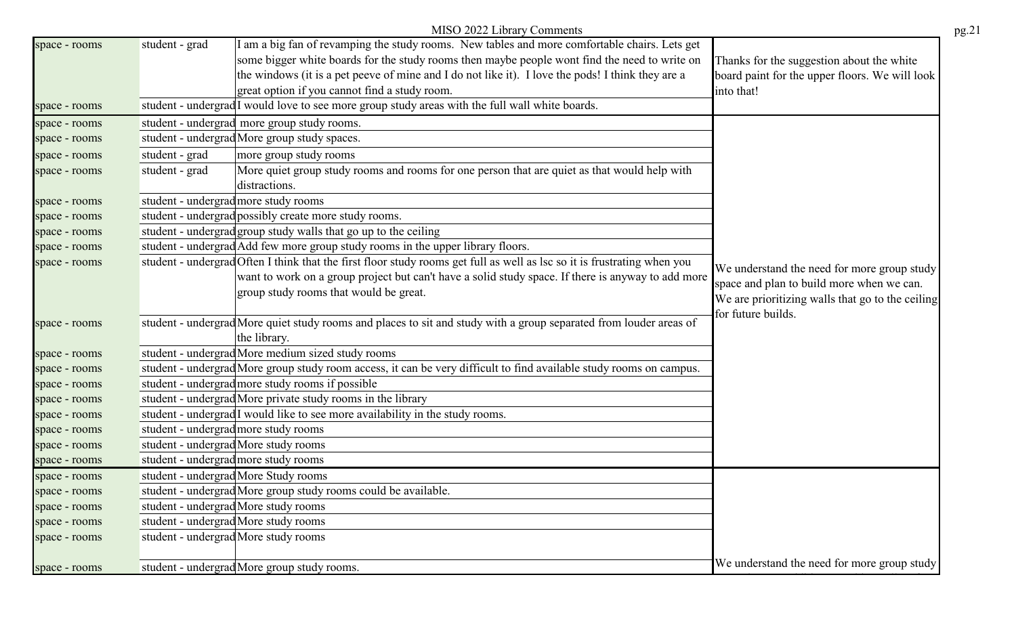|               |                                      | MISO 2022 Library Comments                                                                                               |                                                  |
|---------------|--------------------------------------|--------------------------------------------------------------------------------------------------------------------------|--------------------------------------------------|
| space - rooms | student - grad                       | am a big fan of revamping the study rooms. New tables and more comfortable chairs. Lets get                              |                                                  |
|               |                                      | some bigger white boards for the study rooms then maybe people wont find the need to write on                            | Thanks for the suggestion about the white        |
|               |                                      | the windows (it is a pet peeve of mine and I do not like it). I love the pods! I think they are a                        | board paint for the upper floors. We will look   |
|               |                                      | great option if you cannot find a study room.                                                                            | into that!                                       |
| space - rooms |                                      | student - undergrad <sup>I</sup> would love to see more group study areas with the full wall white boards.               |                                                  |
| space - rooms |                                      | student - undergrad more group study rooms.                                                                              |                                                  |
| space - rooms |                                      | student - undergrad More group study spaces.                                                                             |                                                  |
| space - rooms | student - grad                       | more group study rooms                                                                                                   |                                                  |
| space - rooms | student - grad                       | More quiet group study rooms and rooms for one person that are quiet as that would help with                             |                                                  |
|               |                                      | distractions.                                                                                                            |                                                  |
| space - rooms | student - undergrad more study rooms |                                                                                                                          |                                                  |
| space - rooms |                                      | student - undergrad possibly create more study rooms.                                                                    |                                                  |
| space - rooms |                                      | student - undergrad group study walls that go up to the ceiling                                                          |                                                  |
| space - rooms |                                      | student - undergrad Add few more group study rooms in the upper library floors.                                          |                                                  |
| space - rooms |                                      | student - undergrad Often I think that the first floor study rooms get full as well as lsc so it is frustrating when you | We understand the need for more group study      |
|               |                                      | want to work on a group project but can't have a solid study space. If there is anyway to add more                       | space and plan to build more when we can.        |
|               |                                      | group study rooms that would be great.                                                                                   | We are prioritizing walls that go to the ceiling |
|               |                                      |                                                                                                                          | for future builds.                               |
| space - rooms |                                      | student - undergrad More quiet study rooms and places to sit and study with a group separated from louder areas of       |                                                  |
|               |                                      | the library.                                                                                                             |                                                  |
| space - rooms |                                      | student - undergrad More medium sized study rooms                                                                        |                                                  |
| space - rooms |                                      | student - undergrad More group study room access, it can be very difficult to find available study rooms on campus.      |                                                  |
| space - rooms |                                      | student - undergrad more study rooms if possible                                                                         |                                                  |
| space - rooms |                                      | student - undergrad More private study rooms in the library                                                              |                                                  |
| space - rooms |                                      | student - undergrad <sup>I</sup> would like to see more availability in the study rooms.                                 |                                                  |
| space - rooms | student - undergrad more study rooms |                                                                                                                          |                                                  |
| space - rooms |                                      | student - undergrad More study rooms                                                                                     |                                                  |
| space - rooms |                                      | student - undergrad more study rooms                                                                                     |                                                  |
| space - rooms |                                      | student - undergrad More Study rooms                                                                                     |                                                  |
| space - rooms |                                      | student - undergrad More group study rooms could be available.                                                           |                                                  |
| space - rooms |                                      | student - undergrad More study rooms                                                                                     |                                                  |
| space - rooms |                                      | student - undergrad More study rooms                                                                                     |                                                  |
| space - rooms |                                      | student - undergrad More study rooms                                                                                     |                                                  |
|               |                                      |                                                                                                                          |                                                  |
| space - rooms |                                      | student - undergrad More group study rooms.                                                                              | We understand the need for more group study      |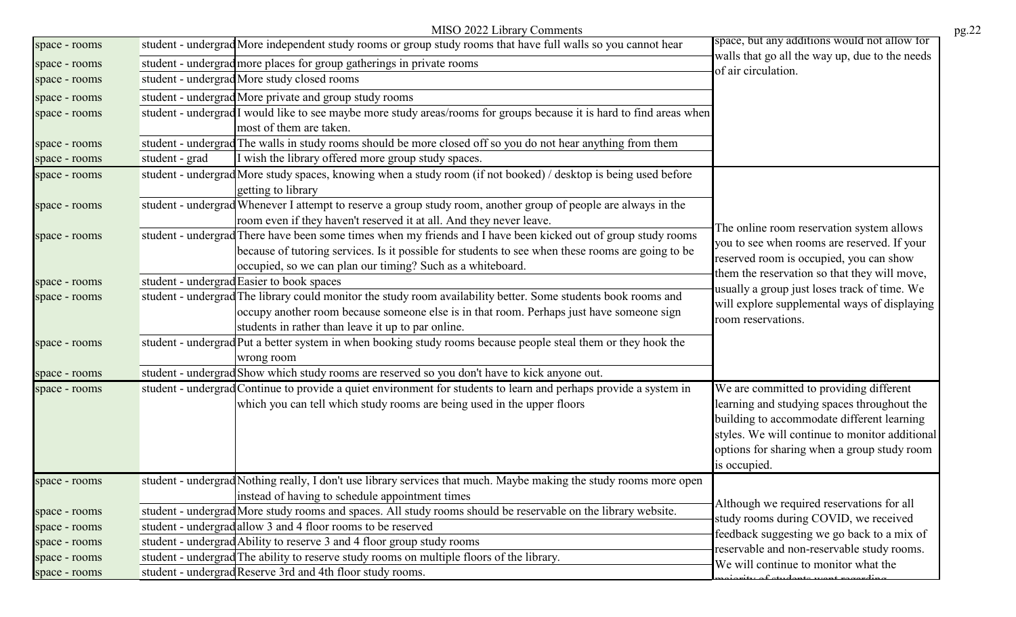|               | MISO 2022 Library Comments                                                                                                                                                                                                                                                        |                                                                                                                                                                                                                                                       | pg.22 |
|---------------|-----------------------------------------------------------------------------------------------------------------------------------------------------------------------------------------------------------------------------------------------------------------------------------|-------------------------------------------------------------------------------------------------------------------------------------------------------------------------------------------------------------------------------------------------------|-------|
| space - rooms | student - undergrad More independent study rooms or group study rooms that have full walls so you cannot hear                                                                                                                                                                     | space, but any additions would not allow for                                                                                                                                                                                                          |       |
| space - rooms | student - undergrad more places for group gatherings in private rooms                                                                                                                                                                                                             | walls that go all the way up, due to the needs<br>of air circulation.                                                                                                                                                                                 |       |
| space - rooms | student - undergrad More study closed rooms                                                                                                                                                                                                                                       |                                                                                                                                                                                                                                                       |       |
| space - rooms | student - undergrad More private and group study rooms                                                                                                                                                                                                                            |                                                                                                                                                                                                                                                       |       |
| space - rooms | student - undergrad I would like to see maybe more study areas/rooms for groups because it is hard to find areas when                                                                                                                                                             |                                                                                                                                                                                                                                                       |       |
|               | most of them are taken.                                                                                                                                                                                                                                                           |                                                                                                                                                                                                                                                       |       |
| space - rooms | student - undergrad The walls in study rooms should be more closed off so you do not hear anything from them                                                                                                                                                                      |                                                                                                                                                                                                                                                       |       |
| space - rooms | I wish the library offered more group study spaces.<br>student - grad                                                                                                                                                                                                             |                                                                                                                                                                                                                                                       |       |
| space - rooms | student - undergrad More study spaces, knowing when a study room (if not booked) / desktop is being used before<br>getting to library                                                                                                                                             |                                                                                                                                                                                                                                                       |       |
| space - rooms | student - undergrad Whenever I attempt to reserve a group study room, another group of people are always in the<br>room even if they haven't reserved it at all. And they never leave.                                                                                            |                                                                                                                                                                                                                                                       |       |
| space - rooms | student - undergrad There have been some times when my friends and I have been kicked out of group study rooms<br>because of tutoring services. Is it possible for students to see when these rooms are going to be<br>occupied, so we can plan our timing? Such as a whiteboard. | The online room reservation system allows<br>you to see when rooms are reserved. If your<br>reserved room is occupied, you can show                                                                                                                   |       |
| space - rooms | student - undergrad Easier to book spaces                                                                                                                                                                                                                                         | them the reservation so that they will move,                                                                                                                                                                                                          |       |
| space - rooms | student - undergrad The library could monitor the study room availability better. Some students book rooms and<br>occupy another room because someone else is in that room. Perhaps just have someone sign<br>students in rather than leave it up to par online.                  | usually a group just loses track of time. We<br>will explore supplemental ways of displaying<br>room reservations.                                                                                                                                    |       |
| space - rooms | student - undergrad Put a better system in when booking study rooms because people steal them or they hook the<br>wrong room                                                                                                                                                      |                                                                                                                                                                                                                                                       |       |
| space - rooms | student - undergrad Show which study rooms are reserved so you don't have to kick anyone out.                                                                                                                                                                                     |                                                                                                                                                                                                                                                       |       |
| space - rooms | student - undergrad Continue to provide a quiet environment for students to learn and perhaps provide a system in<br>which you can tell which study rooms are being used in the upper floors                                                                                      | We are committed to providing different<br>learning and studying spaces throughout the<br>building to accommodate different learning<br>styles. We will continue to monitor additional<br>options for sharing when a group study room<br>is occupied. |       |
| space - rooms | student - undergrad Nothing really, I don't use library services that much. Maybe making the study rooms more open<br>instead of having to schedule appointment times                                                                                                             |                                                                                                                                                                                                                                                       |       |
| space - rooms | student - undergrad More study rooms and spaces. All study rooms should be reservable on the library website.                                                                                                                                                                     | Although we required reservations for all<br>study rooms during COVID, we received                                                                                                                                                                    |       |
| space - rooms | student - undergrad allow 3 and 4 floor rooms to be reserved                                                                                                                                                                                                                      | feedback suggesting we go back to a mix of                                                                                                                                                                                                            |       |
| space - rooms | student - undergrad Ability to reserve 3 and 4 floor group study rooms                                                                                                                                                                                                            | reservable and non-reservable study rooms.                                                                                                                                                                                                            |       |
| space - rooms | student - undergrad The ability to reserve study rooms on multiple floors of the library.                                                                                                                                                                                         | We will continue to monitor what the                                                                                                                                                                                                                  |       |
| space - rooms | student - undergrad Reserve 3rd and 4th floor study rooms.                                                                                                                                                                                                                        | iquity of atudonta mont no                                                                                                                                                                                                                            |       |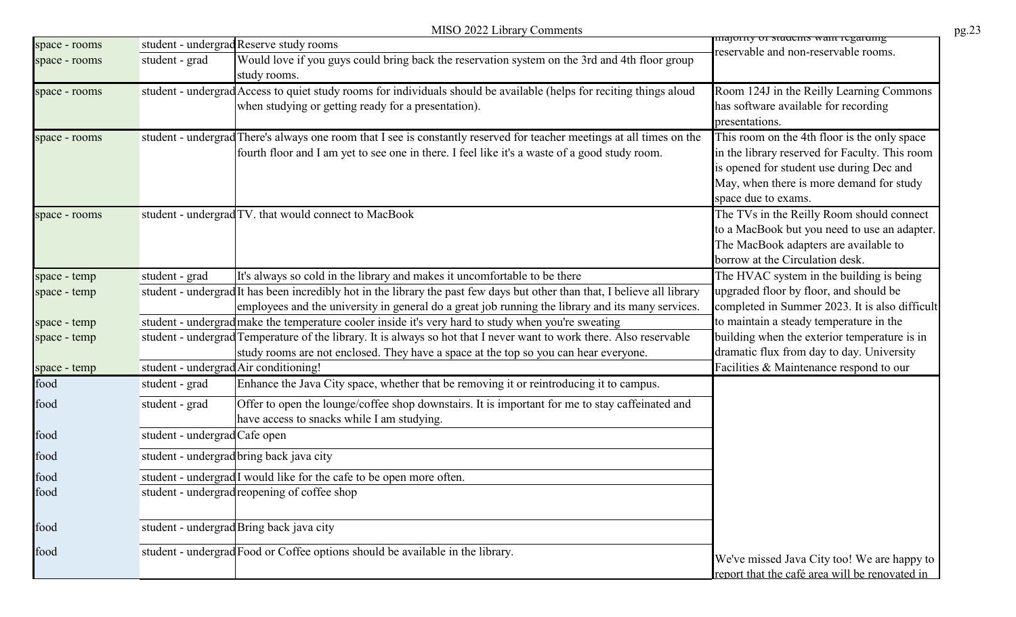|               |                               | MISO 2022 Library Comments                                                                                                                                                                                                      |                                                                                                                                                                                                               | pg.23 |
|---------------|-------------------------------|---------------------------------------------------------------------------------------------------------------------------------------------------------------------------------------------------------------------------------|---------------------------------------------------------------------------------------------------------------------------------------------------------------------------------------------------------------|-------|
| space - rooms |                               | student - undergrad Reserve study rooms                                                                                                                                                                                         | <del>majorny or stuuchts want regaruing</del><br>reservable and non-reservable rooms.                                                                                                                         |       |
| space - rooms | student - grad                | Would love if you guys could bring back the reservation system on the 3rd and 4th floor group<br>study rooms.                                                                                                                   |                                                                                                                                                                                                               |       |
| space - rooms |                               | student - undergrad Access to quiet study rooms for individuals should be available (helps for reciting things aloud<br>when studying or getting ready for a presentation).                                                     | Room 124J in the Reilly Learning Commons<br>has software available for recording<br>presentations.                                                                                                            |       |
| space - rooms |                               | student - undergrad There's always one room that I see is constantly reserved for teacher meetings at all times on the<br>fourth floor and I am yet to see one in there. I feel like it's a waste of a good study room.         | This room on the 4th floor is the only space<br>in the library reserved for Faculty. This room<br>is opened for student use during Dec and<br>May, when there is more demand for study<br>space due to exams. |       |
| space - rooms |                               | student - undergrad TV. that would connect to MacBook                                                                                                                                                                           | The TVs in the Reilly Room should connect<br>to a MacBook but you need to use an adapter.<br>The MacBook adapters are available to<br>borrow at the Circulation desk.                                         |       |
| space - temp  | student - grad                | It's always so cold in the library and makes it uncomfortable to be there                                                                                                                                                       | The HVAC system in the building is being                                                                                                                                                                      |       |
| space - temp  |                               | student - undergrad It has been incredibly hot in the library the past few days but other than that, I believe all library<br>employees and the university in general do a great job running the library and its many services. | upgraded floor by floor, and should be<br>completed in Summer 2023. It is also difficult                                                                                                                      |       |
| space - temp  |                               | student - undergrad make the temperature cooler inside it's very hard to study when you're sweating                                                                                                                             | to maintain a steady temperature in the                                                                                                                                                                       |       |
| space - temp  |                               | student - undergrad Temperature of the library. It is always so hot that I never want to work there. Also reservable<br>study rooms are not enclosed. They have a space at the top so you can hear everyone.                    | building when the exterior temperature is in<br>dramatic flux from day to day. University                                                                                                                     |       |
| space - temp  |                               | student - undergrad Air conditioning!                                                                                                                                                                                           | Facilities & Maintenance respond to our                                                                                                                                                                       |       |
| food          | student - grad                | Enhance the Java City space, whether that be removing it or reintroducing it to campus.                                                                                                                                         |                                                                                                                                                                                                               |       |
| food          | student - grad                | Offer to open the lounge/coffee shop downstairs. It is important for me to stay caffeinated and<br>have access to snacks while I am studying.                                                                                   |                                                                                                                                                                                                               |       |
| food          | student - undergrad Cafe open |                                                                                                                                                                                                                                 |                                                                                                                                                                                                               |       |
| food          |                               | student - undergrad bring back java city                                                                                                                                                                                        |                                                                                                                                                                                                               |       |
| food          |                               | student - undergrad <sup>I</sup> would like for the cafe to be open more often.                                                                                                                                                 |                                                                                                                                                                                                               |       |
| food          |                               | student - undergrad reopening of coffee shop                                                                                                                                                                                    |                                                                                                                                                                                                               |       |
| food          |                               | student - undergrad Bring back java city                                                                                                                                                                                        |                                                                                                                                                                                                               |       |
| food          |                               | student - undergrad Food or Coffee options should be available in the library.                                                                                                                                                  | We've missed Java City too! We are happy to<br>report that the café area will be renovated in                                                                                                                 |       |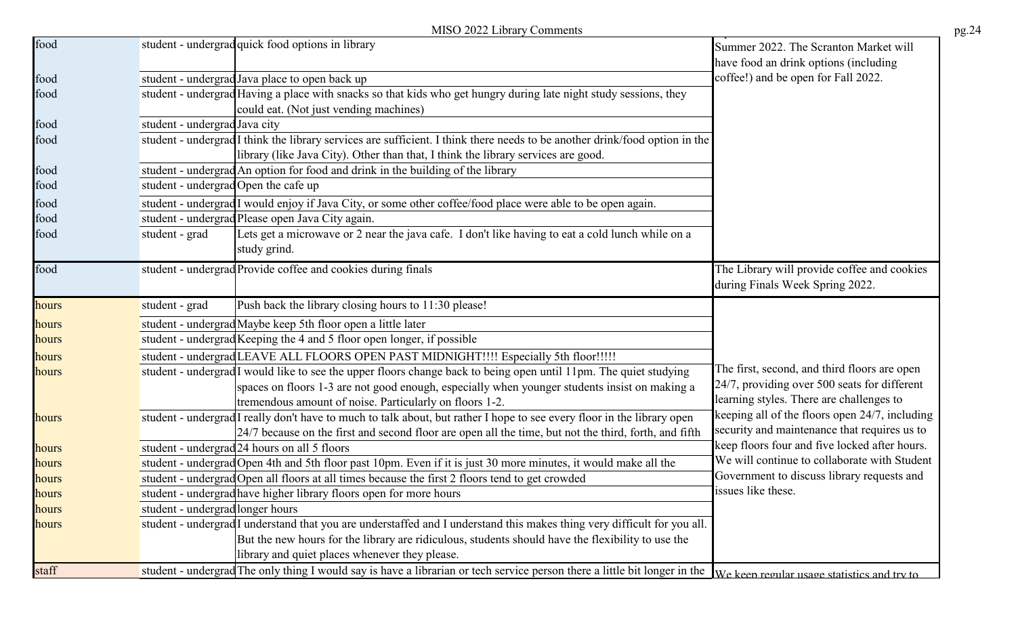|       |                                     | MISO 2022 Library Comments                                                                                                             |                                                                                |
|-------|-------------------------------------|----------------------------------------------------------------------------------------------------------------------------------------|--------------------------------------------------------------------------------|
| food  |                                     | student - undergrad quick food options in library                                                                                      | Summer 2022. The Scranton Market will<br>have food an drink options (including |
| food  |                                     | student - undergrad Java place to open back up                                                                                         | coffee!) and be open for Fall 2022.                                            |
| food  |                                     | student - undergrad Having a place with snacks so that kids who get hungry during late night study sessions, they                      |                                                                                |
|       |                                     | could eat. (Not just vending machines)                                                                                                 |                                                                                |
| food  | student - undergrad Java city       |                                                                                                                                        |                                                                                |
| food  |                                     | student - undergrad <sup>I</sup> think the library services are sufficient. I think there needs to be another drink/food option in the |                                                                                |
|       |                                     | library (like Java City). Other than that, I think the library services are good.                                                      |                                                                                |
| food  |                                     | student - undergrad An option for food and drink in the building of the library                                                        |                                                                                |
| food  | student - undergradOpen the cafe up |                                                                                                                                        |                                                                                |
| food  |                                     | student - undergrad I would enjoy if Java City, or some other coffee/food place were able to be open again.                            |                                                                                |
| food  |                                     | student - undergrad Please open Java City again.                                                                                       |                                                                                |
| food  | student - grad                      | Lets get a microwave or 2 near the java cafe. I don't like having to eat a cold lunch while on a                                       |                                                                                |
|       |                                     | study grind.                                                                                                                           |                                                                                |
| food  |                                     | student - undergrad Provide coffee and cookies during finals                                                                           | The Library will provide coffee and cookies                                    |
|       |                                     |                                                                                                                                        | during Finals Week Spring 2022.                                                |
| hours | student - grad                      | Push back the library closing hours to 11:30 please!                                                                                   |                                                                                |
| hours |                                     | student - undergrad Maybe keep 5th floor open a little later                                                                           |                                                                                |
| hours |                                     | student - undergrad Keeping the 4 and 5 floor open longer, if possible                                                                 |                                                                                |
| hours |                                     | student - undergrad LEAVE ALL FLOORS OPEN PAST MIDNIGHT!!!! Especially 5th floor!!!!!                                                  |                                                                                |
| hours |                                     | student - undergrad <sup>I</sup> would like to see the upper floors change back to being open until 11pm. The quiet studying           | The first, second, and third floors are open                                   |
|       |                                     | spaces on floors 1-3 are not good enough, especially when younger students insist on making a                                          | 24/7, providing over 500 seats for different                                   |
|       |                                     | tremendous amount of noise. Particularly on floors 1-2.                                                                                | learning styles. There are challenges to                                       |
| hours |                                     | student - undergrad I really don't have to much to talk about, but rather I hope to see every floor in the library open                | keeping all of the floors open 24/7, including                                 |
|       |                                     | 24/7 because on the first and second floor are open all the time, but not the third, forth, and fifth                                  | security and maintenance that requires us to                                   |
| hours |                                     | student - undergrad 24 hours on all 5 floors                                                                                           | keep floors four and five locked after hours.                                  |
| hours |                                     | student - undergrad Open 4th and 5th floor past 10pm. Even if it is just 30 more minutes, it would make all the                        | We will continue to collaborate with Student                                   |
| hours |                                     | student - undergrad Open all floors at all times because the first 2 floors tend to get crowded                                        | Government to discuss library requests and                                     |
| hours |                                     | student - undergrad have higher library floors open for more hours                                                                     | issues like these.                                                             |
| hours | student - undergrad longer hours    |                                                                                                                                        |                                                                                |
| hours |                                     | student - undergrad I understand that you are understaffed and I understand this makes thing very difficult for you all.               |                                                                                |
|       |                                     | But the new hours for the library are ridiculous, students should have the flexibility to use the                                      |                                                                                |
|       |                                     | library and quiet places whenever they please.                                                                                         |                                                                                |
| staff |                                     | student - undergrad The only thing I would say is have a librarian or tech service person there a little bit longer in the             | We keen regular usage statistics and try to                                    |